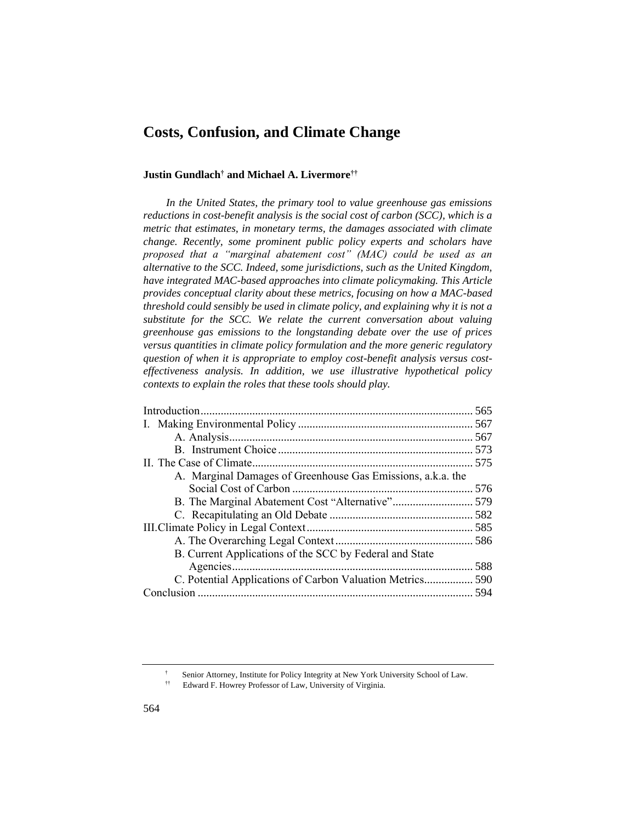# **Costs, Confusion, and Climate Change**

#### **Justin Gundlach† and Michael A. Livermore††**

*In the United States, the primary tool to value greenhouse gas emissions reductions in cost-benefit analysis is the social cost of carbon (SCC), which is a metric that estimates, in monetary terms, the damages associated with climate change. Recently, some prominent public policy experts and scholars have proposed that a "marginal abatement cost" (MAC) could be used as an alternative to the SCC. Indeed, some jurisdictions, such as the United Kingdom, have integrated MAC-based approaches into climate policymaking. This Article provides conceptual clarity about these metrics, focusing on how a MAC-based threshold could sensibly be used in climate policy, and explaining why it is not a substitute for the SCC. We relate the current conversation about valuing greenhouse gas emissions to the longstanding debate over the use of prices versus quantities in climate policy formulation and the more generic regulatory question of when it is appropriate to employ cost-benefit analysis versus costeffectiveness analysis. In addition, we use illustrative hypothetical policy contexts to explain the roles that these tools should play.*

| A. Marginal Damages of Greenhouse Gas Emissions, a.k.a. the |  |  |
|-------------------------------------------------------------|--|--|
|                                                             |  |  |
| B. The Marginal Abatement Cost "Alternative" 579            |  |  |
|                                                             |  |  |
|                                                             |  |  |
|                                                             |  |  |
| B. Current Applications of the SCC by Federal and State     |  |  |
|                                                             |  |  |
| C. Potential Applications of Carbon Valuation Metrics 590   |  |  |
|                                                             |  |  |
|                                                             |  |  |

<sup>†</sup> Senior Attorney, Institute for Policy Integrity at New York University School of Law.<br>
Howard E. Howrey Professor of Law. University of Virginia

<sup>††</sup> Edward F. Howrey Professor of Law, University of Virginia.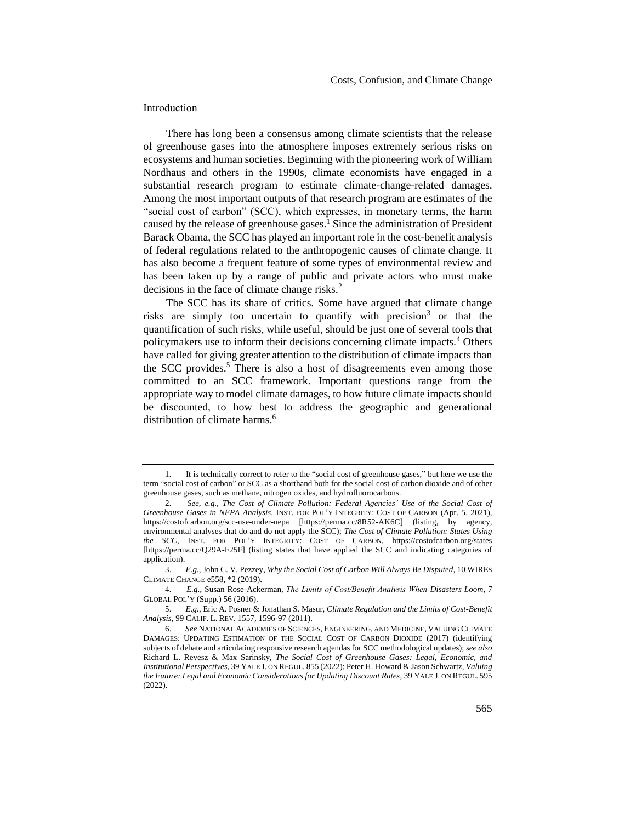## <span id="page-1-0"></span>Introduction

There has long been a consensus among climate scientists that the release of greenhouse gases into the atmosphere imposes extremely serious risks on ecosystems and human societies. Beginning with the pioneering work of William Nordhaus and others in the 1990s, climate economists have engaged in a substantial research program to estimate climate-change-related damages. Among the most important outputs of that research program are estimates of the "social cost of carbon" (SCC), which expresses, in monetary terms, the harm caused by the release of greenhouse gases.<sup>1</sup> Since the administration of President Barack Obama, the SCC has played an important role in the cost-benefit analysis of federal regulations related to the anthropogenic causes of climate change. It has also become a frequent feature of some types of environmental review and has been taken up by a range of public and private actors who must make decisions in the face of climate change risks.<sup>2</sup>

<span id="page-1-2"></span>The SCC has its share of critics. Some have argued that climate change risks are simply too uncertain to quantify with precision<sup>3</sup> or that the quantification of such risks, while useful, should be just one of several tools that policymakers use to inform their decisions concerning climate impacts.<sup>4</sup> Others have called for giving greater attention to the distribution of climate impacts than the SCC provides.<sup>5</sup> There is also a host of disagreements even among those committed to an SCC framework. Important questions range from the appropriate way to model climate damages, to how future climate impacts should be discounted, to how best to address the geographic and generational distribution of climate harms.<sup>6</sup>

<span id="page-1-1"></span><sup>1.</sup> It is technically correct to refer to the "social cost of greenhouse gases," but here we use the term "social cost of carbon" or SCC as a shorthand both for the social cost of carbon dioxide and of other greenhouse gases, such as methane, nitrogen oxides, and hydrofluorocarbons.

<sup>2.</sup> *See, e.g.*, *The Cost of Climate Pollution: Federal Agencies' Use of the Social Cost of Greenhouse Gases in NEPA Analysis*, INST. FOR POL'Y INTEGRITY: COST OF CARBON (Apr. 5, 2021), https://costofcarbon.org/scc-use-under-nepa [https://perma.cc/8R52-AK6C] (listing, by agency, environmental analyses that do and do not apply the SCC); *The Cost of Climate Pollution: States Using the SCC*, INST. FOR POL'Y INTEGRITY: COST OF CARBON, https://costofcarbon.org/states [https://perma.cc/Q29A-F25F] (listing states that have applied the SCC and indicating categories of application).

<sup>3.</sup> *E.g.*, John C. V. Pezzey, *Why the Social Cost of Carbon Will Always Be Disputed*, 10 WIRES CLIMATE CHANGE e558, \*2 (2019).

<sup>4.</sup> *E.g.*, Susan Rose-Ackerman, *The Limits of Cost/Benefit Analysis When Disasters Loom*, 7 GLOBAL POL'Y (Supp.) 56 (2016).

<sup>5.</sup> *E.g.*, Eric A. Posner & Jonathan S. Masur, *Climate Regulation and the Limits of Cost-Benefit Analysis*, 99 CALIF. L. REV. 1557, 1596-97 (2011).

<sup>6.</sup> *See* NATIONAL ACADEMIES OF SCIENCES, ENGINEERING, AND MEDICINE, VALUING CLIMATE DAMAGES: UPDATING ESTIMATION OF THE SOCIAL COST OF CARBON DIOXIDE (2017) (identifying subjects of debate and articulating responsive research agendas for SCC methodological updates); *see also*  Richard L. Revesz & Max Sarinsky, *The Social Cost of Greenhouse Gases: Legal, Economic, and Institutional Perspectives*, 39 YALE J. ON REGUL. 855 (2022); Peter H. Howard & Jason Schwartz, *Valuing the Future: Legal and Economic Considerations for Updating Discount Rates*, 39 YALE J. ON REGUL. 595 (2022).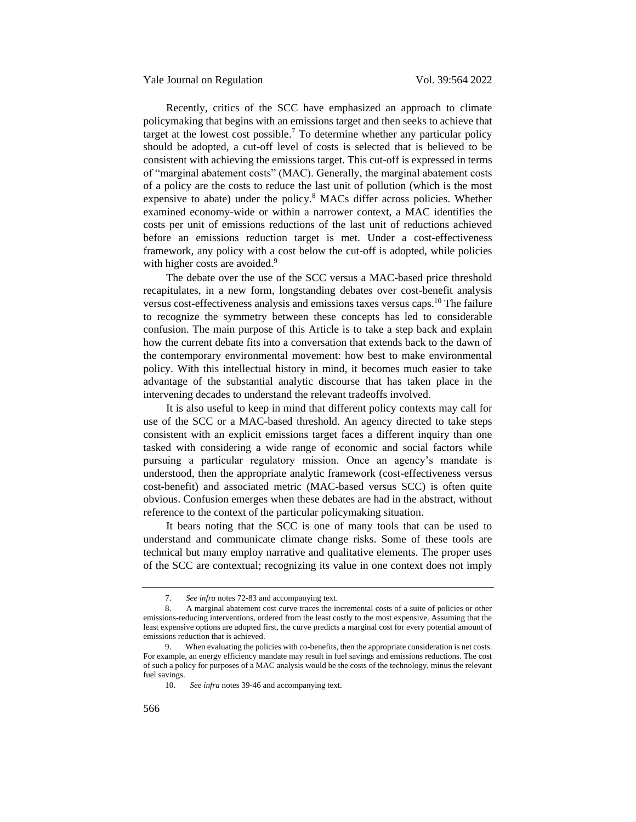Recently, critics of the SCC have emphasized an approach to climate policymaking that begins with an emissions target and then seeks to achieve that target at the lowest cost possible.<sup>7</sup> To determine whether any particular policy should be adopted, a cut-off level of costs is selected that is believed to be consistent with achieving the emissions target. This cut-off is expressed in terms of "marginal abatement costs" (MAC). Generally, the marginal abatement costs of a policy are the costs to reduce the last unit of pollution (which is the most expensive to abate) under the policy.<sup>8</sup> MACs differ across policies. Whether examined economy-wide or within a narrower context, a MAC identifies the costs per unit of emissions reductions of the last unit of reductions achieved before an emissions reduction target is met. Under a cost-effectiveness framework, any policy with a cost below the cut-off is adopted, while policies with higher costs are avoided.<sup>9</sup>

The debate over the use of the SCC versus a MAC-based price threshold recapitulates, in a new form, longstanding debates over cost-benefit analysis versus cost-effectiveness analysis and emissions taxes versus caps.<sup>10</sup> The failure to recognize the symmetry between these concepts has led to considerable confusion. The main purpose of this Article is to take a step back and explain how the current debate fits into a conversation that extends back to the dawn of the contemporary environmental movement: how best to make environmental policy. With this intellectual history in mind, it becomes much easier to take advantage of the substantial analytic discourse that has taken place in the intervening decades to understand the relevant tradeoffs involved.

It is also useful to keep in mind that different policy contexts may call for use of the SCC or a MAC-based threshold. An agency directed to take steps consistent with an explicit emissions target faces a different inquiry than one tasked with considering a wide range of economic and social factors while pursuing a particular regulatory mission. Once an agency's mandate is understood, then the appropriate analytic framework (cost-effectiveness versus cost-benefit) and associated metric (MAC-based versus SCC) is often quite obvious. Confusion emerges when these debates are had in the abstract, without reference to the context of the particular policymaking situation.

It bears noting that the SCC is one of many tools that can be used to understand and communicate climate change risks. Some of these tools are technical but many employ narrative and qualitative elements. The proper uses of the SCC are contextual; recognizing its value in one context does not imply

<sup>7.</sup> *See infra* note[s 72-](#page-15-1)[83](#page-16-0) and accompanying text.

<sup>8.</sup> A marginal abatement cost curve traces the incremental costs of a suite of policies or other emissions-reducing interventions, ordered from the least costly to the most expensive. Assuming that the least expensive options are adopted first, the curve predicts a marginal cost for every potential amount of emissions reduction that is achieved.

<sup>9.</sup> When evaluating the policies with co-benefits, then the appropriate consideration is net costs. For example, an energy efficiency mandate may result in fuel savings and emissions reductions. The cost of such a policy for purposes of a MAC analysis would be the costs of the technology, minus the relevant fuel savings.

<sup>10.</sup> *See infra* note[s 39-](#page-10-0)[46](#page-11-1) and accompanying text.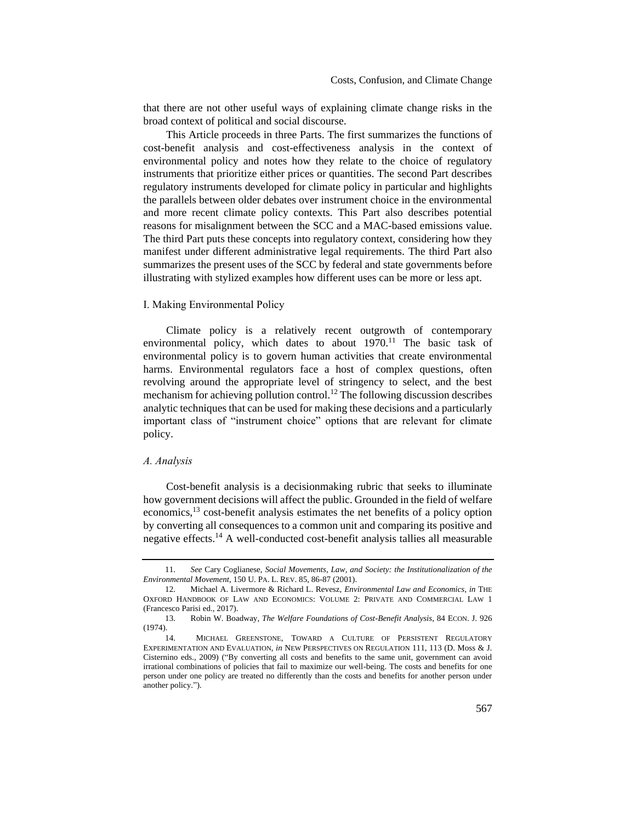that there are not other useful ways of explaining climate change risks in the broad context of political and social discourse.

This Article proceeds in three Parts. The first summarizes the functions of cost-benefit analysis and cost-effectiveness analysis in the context of environmental policy and notes how they relate to the choice of regulatory instruments that prioritize either prices or quantities. The second Part describes regulatory instruments developed for climate policy in particular and highlights the parallels between older debates over instrument choice in the environmental and more recent climate policy contexts. This Part also describes potential reasons for misalignment between the SCC and a MAC-based emissions value. The third Part puts these concepts into regulatory context, considering how they manifest under different administrative legal requirements. The third Part also summarizes the present uses of the SCC by federal and state governments before illustrating with stylized examples how different uses can be more or less apt.

## <span id="page-3-0"></span>I. Making Environmental Policy

Climate policy is a relatively recent outgrowth of contemporary environmental policy, which dates to about  $1970$ .<sup>11</sup> The basic task of environmental policy is to govern human activities that create environmental harms. Environmental regulators face a host of complex questions, often revolving around the appropriate level of stringency to select, and the best mechanism for achieving pollution control.<sup>12</sup> The following discussion describes analytic techniques that can be used for making these decisions and a particularly important class of "instrument choice" options that are relevant for climate policy.

## <span id="page-3-1"></span>*A. Analysis*

Cost-benefit analysis is a decisionmaking rubric that seeks to illuminate how government decisions will affect the public. Grounded in the field of welfare economics,<sup>13</sup> cost-benefit analysis estimates the net benefits of a policy option by converting all consequences to a common unit and comparing its positive and negative effects.<sup>14</sup> A well-conducted cost-benefit analysis tallies all measurable

<sup>11.</sup> *See* Cary Coglianese, *Social Movements, Law, and Society: the Institutionalization of the Environmental Movement*, 150 U. PA. L. REV. 85, 86-87 (2001).

<sup>12.</sup> Michael A. Livermore & Richard L. Revesz, *Environmental Law and Economics*, *in* THE OXFORD HANDBOOK OF LAW AND ECONOMICS: VOLUME 2: PRIVATE AND COMMERCIAL LAW 1 (Francesco Parisi ed., 2017).

<sup>13.</sup> Robin W. Boadway, *The Welfare Foundations of Cost-Benefit Analysis*, 84 ECON. J. 926 (1974).

<sup>14.</sup> MICHAEL GREENSTONE, TOWARD A CULTURE OF PERSISTENT REGULATORY EXPERIMENTATION AND EVALUATION, *in* NEW PERSPECTIVES ON REGULATION 111, 113 (D. Moss & J. Cisternino eds., 2009) ("By converting all costs and benefits to the same unit, government can avoid irrational combinations of policies that fail to maximize our well-being. The costs and benefits for one person under one policy are treated no differently than the costs and benefits for another person under another policy.").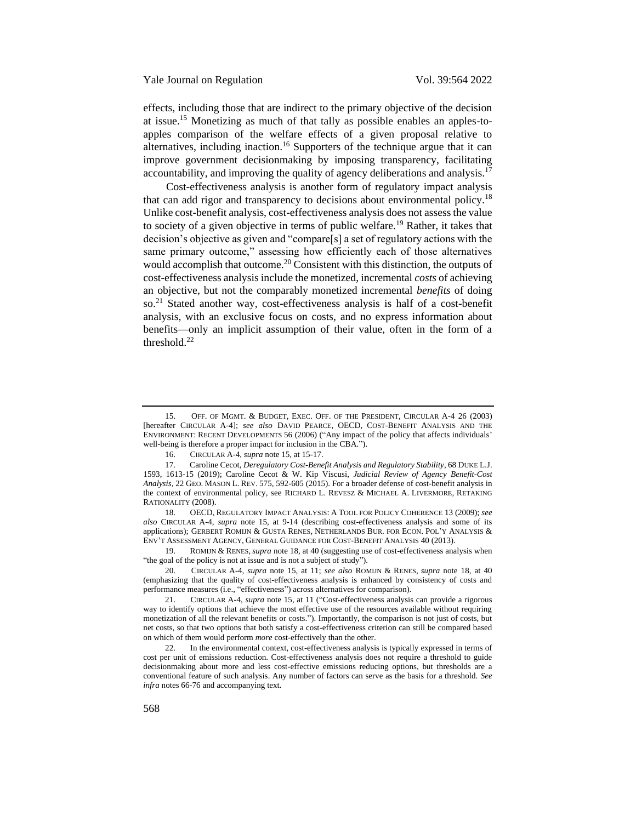<span id="page-4-0"></span>effects, including those that are indirect to the primary objective of the decision at issue.<sup>15</sup> Monetizing as much of that tally as possible enables an apples-toapples comparison of the welfare effects of a given proposal relative to alternatives, including inaction.<sup>16</sup> Supporters of the technique argue that it can improve government decisionmaking by imposing transparency, facilitating accountability, and improving the quality of agency deliberations and analysis.<sup>17</sup>

<span id="page-4-1"></span>Cost-effectiveness analysis is another form of regulatory impact analysis that can add rigor and transparency to decisions about environmental policy.<sup>18</sup> Unlike cost-benefit analysis, cost-effectiveness analysis does not assess the value to society of a given objective in terms of public welfare.<sup>19</sup> Rather, it takes that decision's objective as given and "compare[s] a set of regulatory actions with the same primary outcome," assessing how efficiently each of those alternatives would accomplish that outcome.<sup>20</sup> Consistent with this distinction, the outputs of cost-effectiveness analysis include the monetized, incremental *costs* of achieving an objective, but not the comparably monetized incremental *benefits* of doing so.<sup>21</sup> Stated another way, cost-effectiveness analysis is half of a cost-benefit analysis, with an exclusive focus on costs, and no express information about benefits—only an implicit assumption of their value, often in the form of a threshold.<sup>22</sup>

<sup>15.</sup> OFF. OF MGMT. & BUDGET, EXEC. OFF. OF THE PRESIDENT, CIRCULAR A-4 26 (2003) [hereafter CIRCULAR A-4]; *see also* DAVID PEARCE, OECD, COST-BENEFIT ANALYSIS AND THE ENVIRONMENT: RECENT DEVELOPMENTS 56 (2006) ("Any impact of the policy that affects individuals' well-being is therefore a proper impact for inclusion in the CBA.").

<sup>16.</sup> CIRCULAR A-4, *supra* not[e 15,](#page-4-0) at 15-17.

<sup>17.</sup> Caroline Cecot, *Deregulatory Cost-Benefit Analysis and Regulatory Stability*, 68 DUKE L.J. 1593, 1613-15 (2019); Caroline Cecot & W. Kip Viscusi, *Judicial Review of Agency Benefit-Cost Analysis*, 22 GEO. MASON L. REV. 575, 592-605 (2015). For a broader defense of cost-benefit analysis in the context of environmental policy, see RICHARD L. REVESZ & MICHAEL A. LIVERMORE, RETAKING RATIONALITY (2008).

<sup>18.</sup> OECD, REGULATORY IMPACT ANALYSIS: A TOOL FOR POLICY COHERENCE 13 (2009); *see also* CIRCULAR A-4, *supra* note [15,](#page-4-0) at 9-14 (describing cost-effectiveness analysis and some of its applications); GERBERT ROMIJN & GUSTA RENES, NETHERLANDS BUR. FOR ECON. POL'Y ANALYSIS & ENV'T ASSESSMENT AGENCY, GENERAL GUIDANCE FOR COST-BENEFIT ANALYSIS 40 (2013).

<sup>19.</sup> ROMIJN & RENES, *supra* not[e 18,](#page-4-1) at 40 (suggesting use of cost-effectiveness analysis when "the goal of the policy is not at issue and is not a subject of study").

<sup>20.</sup> CIRCULAR A-4, *supra* note [15,](#page-4-0) at 11; *see also* ROMIJN & RENES, *supra* note [18,](#page-4-1) at 40 (emphasizing that the quality of cost-effectiveness analysis is enhanced by consistency of costs and performance measures (i.e., "effectiveness") across alternatives for comparison).

<sup>21.</sup> CIRCULAR A-4, *supra* note [15,](#page-4-0) at 11 ("Cost-effectiveness analysis can provide a rigorous way to identify options that achieve the most effective use of the resources available without requiring monetization of all the relevant benefits or costs."). Importantly, the comparison is not just of costs, but net costs, so that two options that both satisfy a cost-effectiveness criterion can still be compared based on which of them would perform *more* cost-effectively than the other.

<sup>22.</sup> In the environmental context, cost-effectiveness analysis is typically expressed in terms of cost per unit of emissions reduction. Cost-effectiveness analysis does not require a threshold to guide decisionmaking about more and less cost-effective emissions reducing options, but thresholds are a conventional feature of such analysis. Any number of factors can serve as the basis for a threshold. *See infra* notes 66-76 and accompanying text.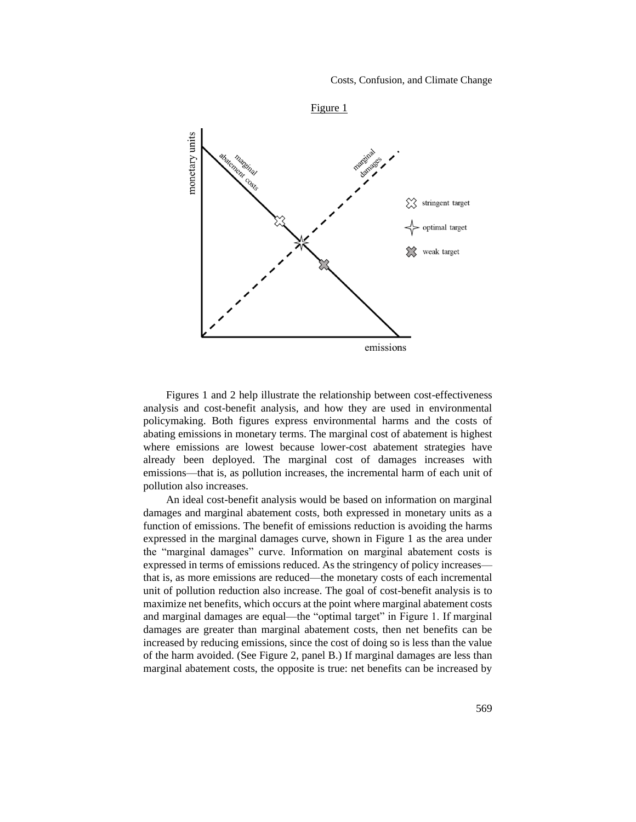

Figures 1 and 2 help illustrate the relationship between cost-effectiveness analysis and cost-benefit analysis, and how they are used in environmental policymaking. Both figures express environmental harms and the costs of abating emissions in monetary terms. The marginal cost of abatement is highest where emissions are lowest because lower-cost abatement strategies have already been deployed. The marginal cost of damages increases with emissions—that is, as pollution increases, the incremental harm of each unit of pollution also increases.

An ideal cost-benefit analysis would be based on information on marginal damages and marginal abatement costs, both expressed in monetary units as a function of emissions. The benefit of emissions reduction is avoiding the harms expressed in the marginal damages curve, shown in Figure 1 as the area under the "marginal damages" curve. Information on marginal abatement costs is expressed in terms of emissions reduced. As the stringency of policy increases that is, as more emissions are reduced—the monetary costs of each incremental unit of pollution reduction also increase. The goal of cost-benefit analysis is to maximize net benefits, which occurs at the point where marginal abatement costs and marginal damages are equal—the "optimal target" in Figure 1. If marginal damages are greater than marginal abatement costs, then net benefits can be increased by reducing emissions, since the cost of doing so is less than the value of the harm avoided. (See Figure 2, panel B.) If marginal damages are less than marginal abatement costs, the opposite is true: net benefits can be increased by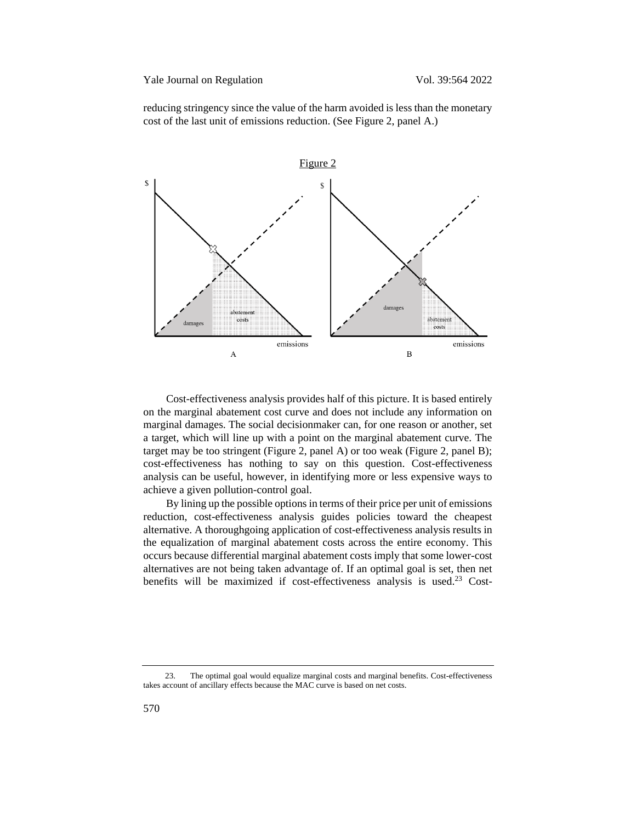reducing stringency since the value of the harm avoided is less than the monetary cost of the last unit of emissions reduction. (See Figure 2, panel A.)



Cost-effectiveness analysis provides half of this picture. It is based entirely on the marginal abatement cost curve and does not include any information on marginal damages. The social decisionmaker can, for one reason or another, set a target, which will line up with a point on the marginal abatement curve. The target may be too stringent (Figure 2, panel A) or too weak (Figure 2, panel B); cost-effectiveness has nothing to say on this question. Cost-effectiveness analysis can be useful, however, in identifying more or less expensive ways to achieve a given pollution-control goal.

By lining up the possible options in terms of their price per unit of emissions reduction, cost-effectiveness analysis guides policies toward the cheapest alternative. A thoroughgoing application of cost-effectiveness analysis results in the equalization of marginal abatement costs across the entire economy. This occurs because differential marginal abatement costs imply that some lower-cost alternatives are not being taken advantage of. If an optimal goal is set, then net benefits will be maximized if cost-effectiveness analysis is used.<sup>23</sup> Cost-

<sup>23.</sup> The optimal goal would equalize marginal costs and marginal benefits. Cost-effectiveness takes account of ancillary effects because the MAC curve is based on net costs.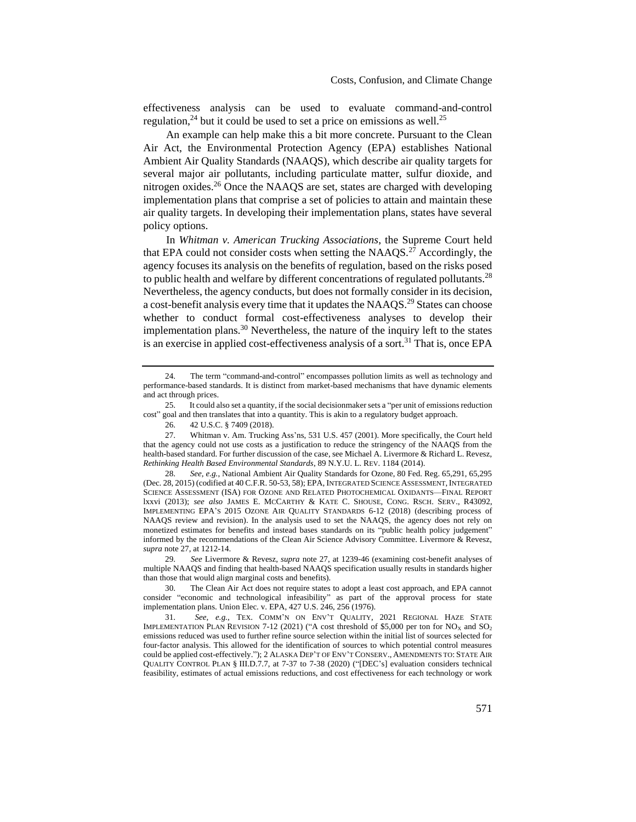effectiveness analysis can be used to evaluate command-and-control regulation,  $24$  but it could be used to set a price on emissions as well.  $25$ 

An example can help make this a bit more concrete. Pursuant to the Clean Air Act, the Environmental Protection Agency (EPA) establishes National Ambient Air Quality Standards (NAAQS), which describe air quality targets for several major air pollutants, including particulate matter, sulfur dioxide, and nitrogen oxides.<sup>26</sup> Once the NAAQS are set, states are charged with developing implementation plans that comprise a set of policies to attain and maintain these air quality targets. In developing their implementation plans, states have several policy options.

<span id="page-7-0"></span>In *Whitman v. American Trucking Associations*, the Supreme Court held that EPA could not consider costs when setting the  $NAAOS<sup>27</sup>$  Accordingly, the agency focuses its analysis on the benefits of regulation, based on the risks posed to public health and welfare by different concentrations of regulated pollutants.<sup>28</sup> Nevertheless, the agency conducts, but does not formally consider in its decision, a cost-benefit analysis every time that it updates the NAAQS.<sup>29</sup> States can choose whether to conduct formal cost-effectiveness analyses to develop their implementation plans.<sup>30</sup> Nevertheless, the nature of the inquiry left to the states is an exercise in applied cost-effectiveness analysis of a sort.<sup>31</sup> That is, once EPA

29. *See* Livermore & Revesz, *supra* not[e 27,](#page-7-0) at 1239-46 (examining cost-benefit analyses of multiple NAAQS and finding that health-based NAAQS specification usually results in standards higher than those that would align marginal costs and benefits).

30. The Clean Air Act does not require states to adopt a least cost approach, and EPA cannot consider "economic and technological infeasibility" as part of the approval process for state implementation plans. Union Elec. v. EPA, 427 U.S. 246, 256 (1976).

31. *See, e.g.*, TEX. COMM'N ON ENV'T QUALITY, 2021 REGIONAL HAZE STATE IMPLEMENTATION PLAN REVISION 7-12 (2021) ("A cost threshold of \$5,000 per ton for  $NO<sub>X</sub>$  and  $SO<sub>2</sub>$ emissions reduced was used to further refine source selection within the initial list of sources selected for four-factor analysis. This allowed for the identification of sources to which potential control measures could be applied cost-effectively."); 2 ALASKA DEP'T OF ENV'T CONSERV., AMENDMENTS TO: STATE AIR QUALITY CONTROL PLAN § III.D.7.7, at 7-37 to 7-38 (2020) ("[DEC's] evaluation considers technical feasibility, estimates of actual emissions reductions, and cost effectiveness for each technology or work

<sup>24.</sup> The term "command-and-control" encompasses pollution limits as well as technology and performance-based standards. It is distinct from market-based mechanisms that have dynamic elements and act through prices.

<sup>25.</sup> It could also set a quantity, if the social decisionmaker sets a "per unit of emissions reduction cost" goal and then translates that into a quantity. This is akin to a regulatory budget approach.

<sup>26.</sup> 42 U.S.C. § 7409 (2018).

<sup>27.</sup> Whitman v. Am. Trucking Ass'ns, 531 U.S. 457 (2001). More specifically, the Court held that the agency could not use costs as a justification to reduce the stringency of the NAAQS from the health-based standard. For further discussion of the case, see Michael A. Livermore & Richard L. Revesz, *Rethinking Health Based Environmental Standards*, 89 N.Y.U. L. REV. 1184 (2014).

<sup>28.</sup> *See, e.g.*, National Ambient Air Quality Standards for Ozone, 80 Fed. Reg. 65,291, 65,295 (Dec. 28, 2015) (codified at 40 C.F.R. 50-53, 58); EPA, INTEGRATED SCIENCE ASSESSMENT,INTEGRATED SCIENCE ASSESSMENT (ISA) FOR OZONE AND RELATED PHOTOCHEMICAL OXIDANTS—FINAL REPORT lxxvi (2013); *see also* JAMES E. MCCARTHY & KATE C. SHOUSE, CONG. RSCH. SERV., R43092, IMPLEMENTING EPA'S 2015 OZONE AIR QUALITY STANDARDS 6-12 (2018) (describing process of NAAQS review and revision). In the analysis used to set the NAAQS, the agency does not rely on monetized estimates for benefits and instead bases standards on its "public health policy judgement" informed by the recommendations of the Clean Air Science Advisory Committee. Livermore & Revesz, *supra* not[e 27,](#page-7-0) at 1212-14.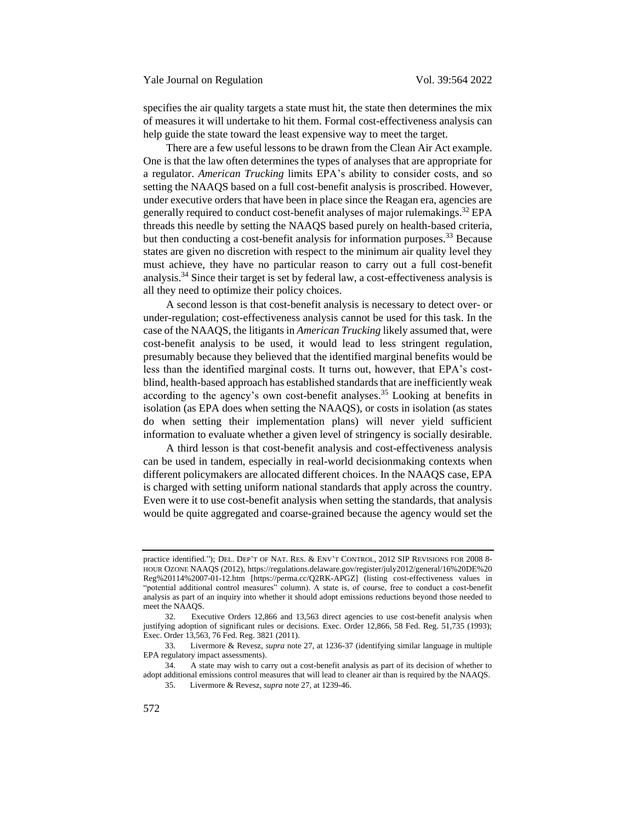specifies the air quality targets a state must hit, the state then determines the mix of measures it will undertake to hit them. Formal cost-effectiveness analysis can help guide the state toward the least expensive way to meet the target.

There are a few useful lessons to be drawn from the Clean Air Act example. One is that the law often determines the types of analyses that are appropriate for a regulator. *American Trucking* limits EPA's ability to consider costs, and so setting the NAAQS based on a full cost-benefit analysis is proscribed. However, under executive orders that have been in place since the Reagan era, agencies are generally required to conduct cost-benefit analyses of major rulemakings.<sup>32</sup> EPA threads this needle by setting the NAAQS based purely on health-based criteria, but then conducting a cost-benefit analysis for information purposes.<sup>33</sup> Because states are given no discretion with respect to the minimum air quality level they must achieve, they have no particular reason to carry out a full cost-benefit analysis. $34$  Since their target is set by federal law, a cost-effectiveness analysis is all they need to optimize their policy choices.

A second lesson is that cost-benefit analysis is necessary to detect over- or under-regulation; cost-effectiveness analysis cannot be used for this task. In the case of the NAAQS, the litigants in *American Trucking* likely assumed that, were cost-benefit analysis to be used, it would lead to less stringent regulation, presumably because they believed that the identified marginal benefits would be less than the identified marginal costs. It turns out, however, that EPA's costblind, health-based approach has established standards that are inefficiently weak according to the agency's own cost-benefit analyses.<sup>35</sup> Looking at benefits in isolation (as EPA does when setting the NAAQS), or costs in isolation (as states do when setting their implementation plans) will never yield sufficient information to evaluate whether a given level of stringency is socially desirable.

A third lesson is that cost-benefit analysis and cost-effectiveness analysis can be used in tandem, especially in real-world decisionmaking contexts when different policymakers are allocated different choices. In the NAAQS case, EPA is charged with setting uniform national standards that apply across the country. Even were it to use cost-benefit analysis when setting the standards, that analysis would be quite aggregated and coarse-grained because the agency would set the

34. A state may wish to carry out a cost-benefit analysis as part of its decision of whether to adopt additional emissions control measures that will lead to cleaner air than is required by the NAAQS.

practice identified."); DEL. DEP'T OF NAT. RES. & ENV'T CONTROL, 2012 SIP REVISIONS FOR 2008 8- HOUR OZONE NAAQS (2012), https://regulations.delaware.gov/register/july2012/general/16%20DE%20 Reg%20114%2007-01-12.htm [https://perma.cc/Q2RK-APGZ] (listing cost-effectiveness values in "potential additional control measures" column). A state is, of course, free to conduct a cost-benefit analysis as part of an inquiry into whether it should adopt emissions reductions beyond those needed to meet the NAAQS.

<sup>32.</sup> Executive Orders 12,866 and 13,563 direct agencies to use cost-benefit analysis when justifying adoption of significant rules or decisions. Exec. Order 12,866, 58 Fed. Reg. 51,735 (1993); Exec. Order 13,563, 76 Fed. Reg. 3821 (2011).

<sup>33.</sup> Livermore & Revesz, *supra* not[e 27,](#page-7-0) at 1236-37 (identifying similar language in multiple EPA regulatory impact assessments).

<sup>35.</sup> Livermore & Revesz, *supra* not[e 27,](#page-7-0) at 1239-46.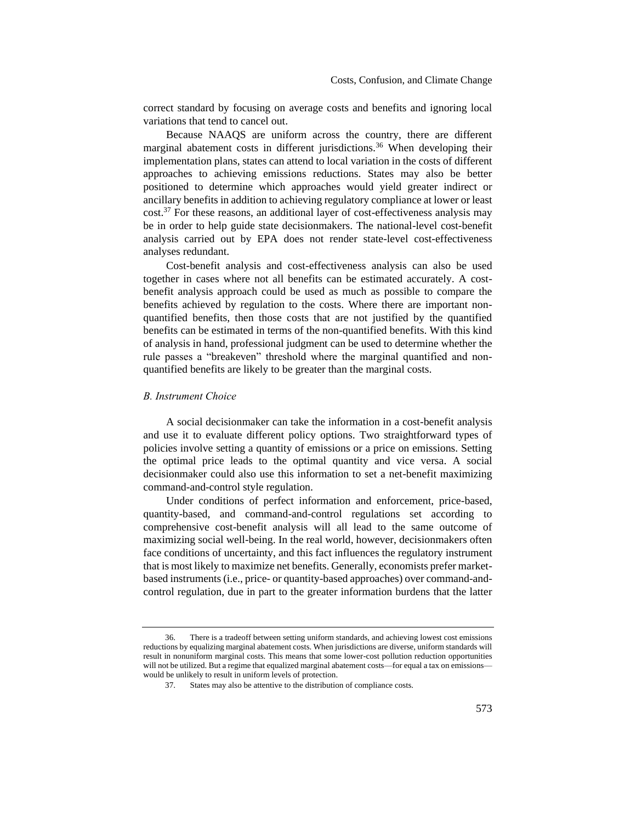correct standard by focusing on average costs and benefits and ignoring local variations that tend to cancel out.

Because NAAQS are uniform across the country, there are different marginal abatement costs in different jurisdictions.<sup>36</sup> When developing their implementation plans, states can attend to local variation in the costs of different approaches to achieving emissions reductions. States may also be better positioned to determine which approaches would yield greater indirect or ancillary benefits in addition to achieving regulatory compliance at lower or least  $\cot^{37}$  For these reasons, an additional layer of cost-effectiveness analysis may be in order to help guide state decisionmakers. The national-level cost-benefit analysis carried out by EPA does not render state-level cost-effectiveness analyses redundant.

Cost-benefit analysis and cost-effectiveness analysis can also be used together in cases where not all benefits can be estimated accurately. A costbenefit analysis approach could be used as much as possible to compare the benefits achieved by regulation to the costs. Where there are important nonquantified benefits, then those costs that are not justified by the quantified benefits can be estimated in terms of the non-quantified benefits. With this kind of analysis in hand, professional judgment can be used to determine whether the rule passes a "breakeven" threshold where the marginal quantified and nonquantified benefits are likely to be greater than the marginal costs.

#### <span id="page-9-0"></span>*B. Instrument Choice*

A social decisionmaker can take the information in a cost-benefit analysis and use it to evaluate different policy options. Two straightforward types of policies involve setting a quantity of emissions or a price on emissions. Setting the optimal price leads to the optimal quantity and vice versa. A social decisionmaker could also use this information to set a net-benefit maximizing command-and-control style regulation.

Under conditions of perfect information and enforcement, price-based, quantity-based, and command-and-control regulations set according to comprehensive cost-benefit analysis will all lead to the same outcome of maximizing social well-being. In the real world, however, decisionmakers often face conditions of uncertainty, and this fact influences the regulatory instrument that is most likely to maximize net benefits. Generally, economists prefer marketbased instruments (i.e., price- or quantity-based approaches) over command-andcontrol regulation, due in part to the greater information burdens that the latter

<sup>36.</sup> There is a tradeoff between setting uniform standards, and achieving lowest cost emissions reductions by equalizing marginal abatement costs. When jurisdictions are diverse, uniform standards will result in nonuniform marginal costs. This means that some lower-cost pollution reduction opportunities will not be utilized. But a regime that equalized marginal abatement costs—for equal a tax on emissions would be unlikely to result in uniform levels of protection.

<sup>37.</sup> States may also be attentive to the distribution of compliance costs.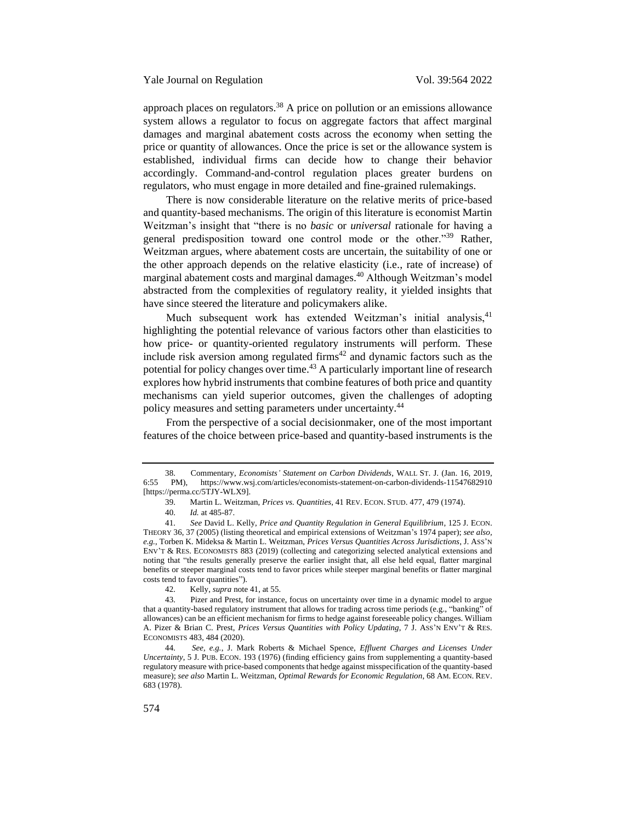approach places on regulators.<sup>38</sup> A price on pollution or an emissions allowance system allows a regulator to focus on aggregate factors that affect marginal damages and marginal abatement costs across the economy when setting the price or quantity of allowances. Once the price is set or the allowance system is established, individual firms can decide how to change their behavior accordingly. Command-and-control regulation places greater burdens on regulators, who must engage in more detailed and fine-grained rulemakings.

<span id="page-10-0"></span>There is now considerable literature on the relative merits of price-based and quantity-based mechanisms. The origin of this literature is economist Martin Weitzman's insight that "there is no *basic* or *universal* rationale for having a general predisposition toward one control mode or the other."<sup>39</sup> Rather. Weitzman argues, where abatement costs are uncertain, the suitability of one or the other approach depends on the relative elasticity (i.e., rate of increase) of marginal abatement costs and marginal damages.<sup>40</sup> Although Weitzman's model abstracted from the complexities of regulatory reality, it yielded insights that have since steered the literature and policymakers alike.

<span id="page-10-1"></span>Much subsequent work has extended Weitzman's initial analysis,<sup>41</sup> highlighting the potential relevance of various factors other than elasticities to how price- or quantity-oriented regulatory instruments will perform. These include risk aversion among regulated firms $42$  and dynamic factors such as the potential for policy changes over time.<sup>43</sup> A particularly important line of research explores how hybrid instruments that combine features of both price and quantity mechanisms can yield superior outcomes, given the challenges of adopting policy measures and setting parameters under uncertainty.<sup>44</sup>

From the perspective of a social decisionmaker, one of the most important features of the choice between price-based and quantity-based instruments is the

<sup>38.</sup> Commentary, *Economists' Statement on Carbon Dividends*, WALL ST. J. (Jan. 16, 2019, 6:55 PM), https://www.wsj.com/articles/economists-statement-on-carbon-dividends-11547682910 [https://perma.cc/5TJY-WLX9].

<sup>39.</sup> Martin L. Weitzman, *Prices vs. Quantities*, 41 REV. ECON. STUD. 477, 479 (1974).

<sup>40.</sup> *Id.* at 485-87.

<sup>41.</sup> *See* David L. Kelly, *Price and Quantity Regulation in General Equilibrium*, 125 J. ECON. THEORY 36, 37 (2005) (listing theoretical and empirical extensions of Weitzman's 1974 paper); *see also, e.g.*, Torben K. Mideksa & Martin L. Weitzman, *Prices Versus Quantities Across Jurisdictions*, J. ASS'N ENV'T & RES. ECONOMISTS 883 (2019) (collecting and categorizing selected analytical extensions and noting that "the results generally preserve the earlier insight that, all else held equal, flatter marginal benefits or steeper marginal costs tend to favor prices while steeper marginal benefits or flatter marginal costs tend to favor quantities").

<sup>42.</sup> Kelly, *supra* note [41,](#page-10-1) at 55.<br>43. Pizer and Prest, for instance

Pizer and Prest, for instance, focus on uncertainty over time in a dynamic model to argue that a quantity-based regulatory instrument that allows for trading across time periods (e.g., "banking" of allowances) can be an efficient mechanism for firms to hedge against foreseeable policy changes. William A. Pizer & Brian C. Prest, *Prices Versus Quantities with Policy Updating*, 7 J. ASS'N ENV'T & RES. ECONOMISTS 483, 484 (2020).

<sup>44.</sup> *See, e.g.*, J. Mark Roberts & Michael Spence, *Effluent Charges and Licenses Under Uncertainty*, 5 J. PUB. ECON. 193 (1976) (finding efficiency gains from supplementing a quantity-based regulatory measure with price-based components that hedge against misspecification of the quantity-based measure); *see also* Martin L. Weitzman, *Optimal Rewards for Economic Regulation*, 68 AM. ECON. REV. 683 (1978).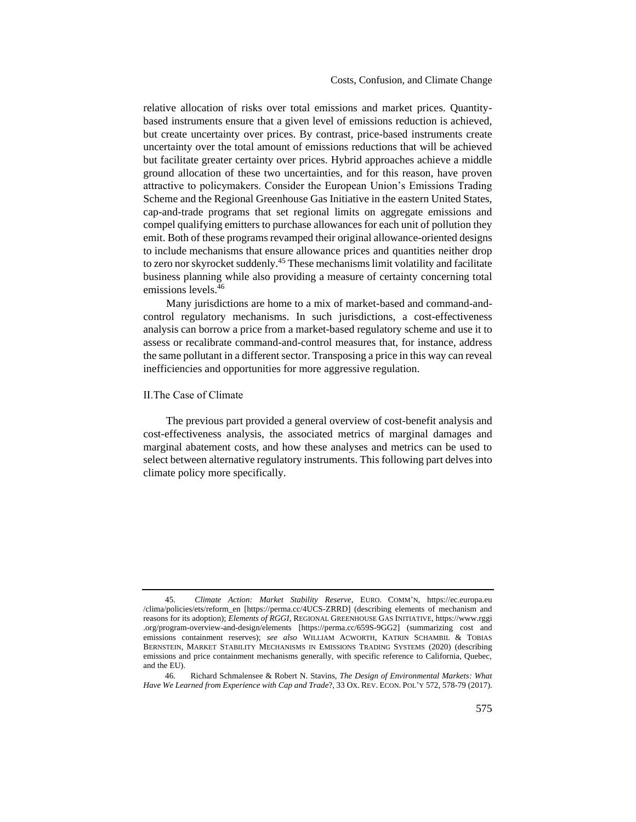Costs, Confusion, and Climate Change

relative allocation of risks over total emissions and market prices. Quantitybased instruments ensure that a given level of emissions reduction is achieved, but create uncertainty over prices. By contrast, price-based instruments create uncertainty over the total amount of emissions reductions that will be achieved but facilitate greater certainty over prices. Hybrid approaches achieve a middle ground allocation of these two uncertainties, and for this reason, have proven attractive to policymakers. Consider the European Union's Emissions Trading Scheme and the Regional Greenhouse Gas Initiative in the eastern United States, cap-and-trade programs that set regional limits on aggregate emissions and compel qualifying emitters to purchase allowances for each unit of pollution they emit. Both of these programs revamped their original allowance-oriented designs to include mechanisms that ensure allowance prices and quantities neither drop to zero nor skyrocket suddenly.<sup>45</sup> These mechanisms limit volatility and facilitate business planning while also providing a measure of certainty concerning total emissions levels.<sup>46</sup>

<span id="page-11-1"></span>Many jurisdictions are home to a mix of market-based and command-andcontrol regulatory mechanisms. In such jurisdictions, a cost-effectiveness analysis can borrow a price from a market-based regulatory scheme and use it to assess or recalibrate command-and-control measures that, for instance, address the same pollutant in a different sector. Transposing a price in this way can reveal inefficiencies and opportunities for more aggressive regulation.

#### <span id="page-11-0"></span>II.The Case of Climate

The previous part provided a general overview of cost-benefit analysis and cost-effectiveness analysis, the associated metrics of marginal damages and marginal abatement costs, and how these analyses and metrics can be used to select between alternative regulatory instruments. This following part delves into climate policy more specifically.

<sup>45.</sup> *Climate Action: Market Stability Reserve*, EURO. COMM'N, https://ec.europa.eu /clima/policies/ets/reform\_en [https://perma.cc/4UCS-ZRRD] (describing elements of mechanism and reasons for its adoption); *Elements of RGGI*, REGIONAL GREENHOUSE GAS INITIATIVE, https://www.rggi .org/program-overview-and-design/elements [https://perma.cc/659S-9GG2] (summarizing cost and emissions containment reserves); *see also* WILLIAM ACWORTH, KATRIN SCHAMBIL & TOBIAS BERNSTEIN, MARKET STABILITY MECHANISMS IN EMISSIONS TRADING SYSTEMS (2020) (describing emissions and price containment mechanisms generally, with specific reference to California, Quebec, and the EU).

<sup>46.</sup> Richard Schmalensee & Robert N. Stavins, *The Design of Environmental Markets: What Have We Learned from Experience with Cap and Trade*?, 33 OX. REV. ECON. POL'Y 572, 578-79 (2017).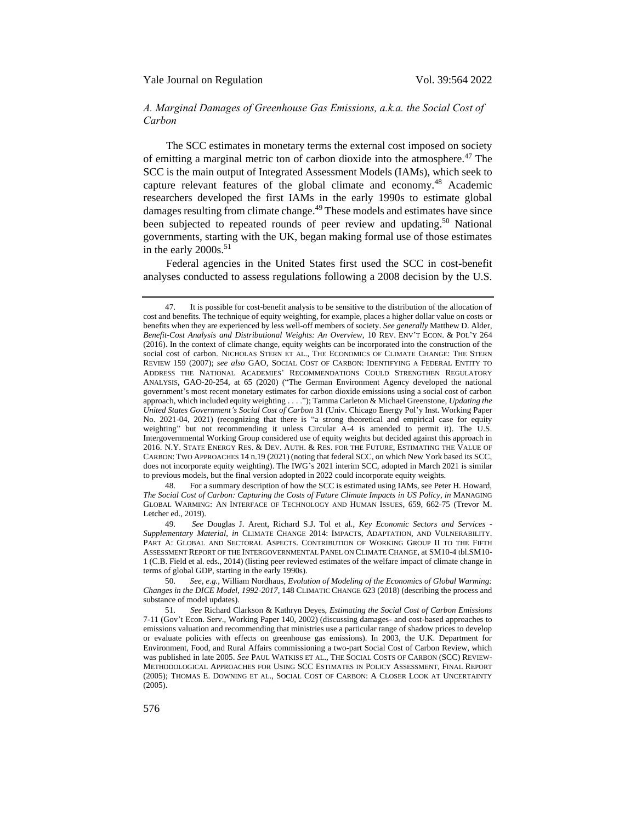# <span id="page-12-0"></span>*A. Marginal Damages of Greenhouse Gas Emissions, a.k.a. the Social Cost of Carbon*

<span id="page-12-3"></span><span id="page-12-2"></span>The SCC estimates in monetary terms the external cost imposed on society of emitting a marginal metric ton of carbon dioxide into the atmosphere.<sup>47</sup> The SCC is the main output of Integrated Assessment Models (IAMs), which seek to capture relevant features of the global climate and economy.<sup>48</sup> Academic researchers developed the first IAMs in the early 1990s to estimate global damages resulting from climate change.<sup>49</sup> These models and estimates have since been subjected to repeated rounds of peer review and updating.<sup>50</sup> National governments, starting with the UK, began making formal use of those estimates in the early  $2000s$ <sup>51</sup>

<span id="page-12-1"></span>Federal agencies in the United States first used the SCC in cost-benefit analyses conducted to assess regulations following a 2008 decision by the U.S.

48. For a summary description of how the SCC is estimated using IAMs, see Peter H. Howard, *The Social Cost of Carbon: Capturing the Costs of Future Climate Impacts in US Policy*, *in* MANAGING GLOBAL WARMING: AN INTERFACE OF TECHNOLOGY AND HUMAN ISSUES, 659, 662-75 (Trevor M. Letcher ed., 2019).

49. *See* Douglas J. Arent, Richard S.J. Tol et al., *Key Economic Sectors and Services - Supplementary Material*, *in* CLIMATE CHANGE 2014: IMPACTS, ADAPTATION, AND VULNERABILITY. PART A: GLOBAL AND SECTORAL ASPECTS. CONTRIBUTION OF WORKING GROUP II TO THE FIFTH ASSESSMENT REPORT OF THE INTERGOVERNMENTAL PANEL ON CLIMATE CHANGE, at SM10-4 tbl.SM10- 1 (C.B. Field et al. eds., 2014) (listing peer reviewed estimates of the welfare impact of climate change in terms of global GDP, starting in the early 1990s).

50. *See, e.g.*, William Nordhaus, *Evolution of Modeling of the Economics of Global Warming: Changes in the DICE Model, 1992-2017*, 148 CLIMATIC CHANGE 623 (2018) (describing the process and substance of model updates).

<sup>47.</sup> It is possible for cost-benefit analysis to be sensitive to the distribution of the allocation of cost and benefits. The technique of equity weighting, for example, places a higher dollar value on costs or benefits when they are experienced by less well-off members of society. *See generally* Matthew D. Alder, *Benefit-Cost Analysis and Distributional Weights: An Overview*, 10 REV. ENV'T ECON. & POL'Y 264 (2016). In the context of climate change, equity weights can be incorporated into the construction of the social cost of carbon. NICHOLAS STERN ET AL., THE ECONOMICS OF CLIMATE CHANGE: THE STERN REVIEW 159 (2007); *see also* GAO, SOCIAL COST OF CARBON: IDENTIFYING A FEDERAL ENTITY TO ADDRESS THE NATIONAL ACADEMIES' RECOMMENDATIONS COULD STRENGTHEN REGULATORY ANALYSIS, GAO-20-254, at 65 (2020) ("The German Environment Agency developed the national government's most recent monetary estimates for carbon dioxide emissions using a social cost of carbon approach, which included equity weighting . . . ."); Tamma Carleton & Michael Greenstone, *Updating the United States Government's Social Cost of Carbon* 31 (Univ. Chicago Energy Pol'y Inst. Working Paper No. 2021-04, 2021) (recognizing that there is "a strong theoretical and empirical case for equity weighting" but not recommending it unless Circular A-4 is amended to permit it). The U.S. Intergovernmental Working Group considered use of equity weights but decided against this approach in 2016. N.Y. STATE ENERGY RES. & DEV. AUTH. & RES. FOR THE FUTURE, ESTIMATING THE VALUE OF CARBON: TWO APPROACHES 14 n.19 (2021) (noting that federal SCC, on which New York based its SCC, does not incorporate equity weighting). The IWG's 2021 interim SCC, adopted in March 2021 is similar to previous models, but the final version adopted in 2022 could incorporate equity weights.

<sup>51.</sup> *See* Richard Clarkson & Kathryn Deyes, *Estimating the Social Cost of Carbon Emissions* 7-11 (Gov't Econ. Serv., Working Paper 140, 2002) (discussing damages- and cost-based approaches to emissions valuation and recommending that ministries use a particular range of shadow prices to develop or evaluate policies with effects on greenhouse gas emissions). In 2003, the U.K. Department for Environment, Food, and Rural Affairs commissioning a two-part Social Cost of Carbon Review, which was published in late 2005. *See* PAUL WATKISS ET AL., THE SOCIAL COSTS OF CARBON (SCC) REVIEW-METHODOLOGICAL APPROACHES FOR USING SCC ESTIMATES IN POLICY ASSESSMENT, FINAL REPORT (2005); THOMAS E. DOWNING ET AL., SOCIAL COST OF CARBON: A CLOSER LOOK AT UNCERTAINTY (2005).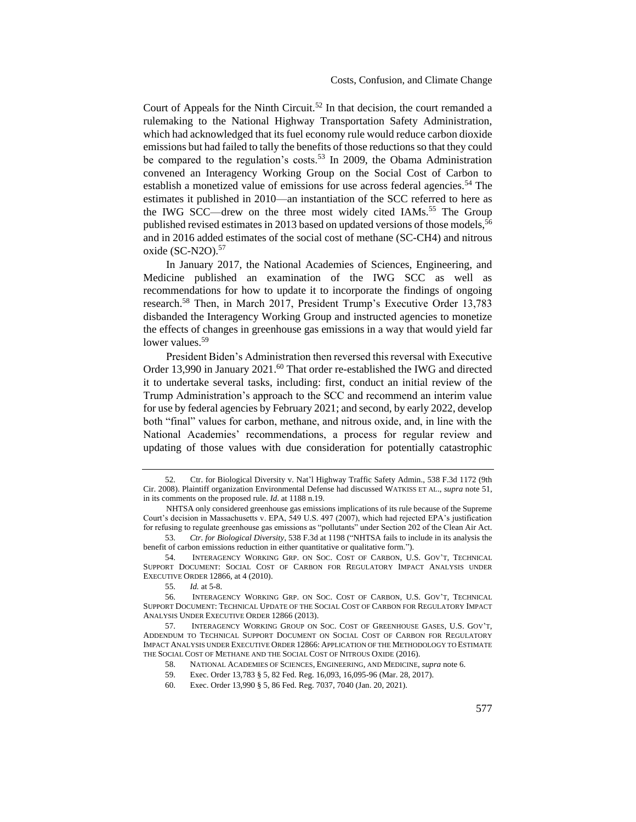Court of Appeals for the Ninth Circuit.<sup>52</sup> In that decision, the court remanded a rulemaking to the National Highway Transportation Safety Administration, which had acknowledged that its fuel economy rule would reduce carbon dioxide emissions but had failed to tally the benefits of those reductions so that they could be compared to the regulation's costs.<sup>53</sup> In 2009, the Obama Administration convened an Interagency Working Group on the Social Cost of Carbon to establish a monetized value of emissions for use across federal agencies.<sup>54</sup> The estimates it published in 2010—an instantiation of the SCC referred to here as the IWG SCC—drew on the three most widely cited IAMs.<sup>55</sup> The Group published revised estimates in 2013 based on updated versions of those models,<sup>56</sup> and in 2016 added estimates of the social cost of methane (SC-CH4) and nitrous oxide (SC-N2O).<sup>57</sup>

<span id="page-13-0"></span>In January 2017, the National Academies of Sciences, Engineering, and Medicine published an examination of the IWG SCC as well as recommendations for how to update it to incorporate the findings of ongoing research.<sup>58</sup> Then, in March 2017, President Trump's Executive Order 13,783 disbanded the Interagency Working Group and instructed agencies to monetize the effects of changes in greenhouse gas emissions in a way that would yield far lower values.<sup>59</sup>

President Biden's Administration then reversed this reversal with Executive Order 13,990 in January 2021.<sup>60</sup> That order re-established the IWG and directed it to undertake several tasks, including: first, conduct an initial review of the Trump Administration's approach to the SCC and recommend an interim value for use by federal agencies by February 2021; and second, by early 2022, develop both "final" values for carbon, methane, and nitrous oxide, and, in line with the National Academies' recommendations, a process for regular review and updating of those values with due consideration for potentially catastrophic

53. *Ctr. for Biological Diversity*, 538 F.3d at 1198 ("NHTSA fails to include in its analysis the benefit of carbon emissions reduction in either quantitative or qualitative form.").

54. INTERAGENCY WORKING GRP. ON SOC. COST OF CARBON, U.S. GOV'T, TECHNICAL SUPPORT DOCUMENT: SOCIAL COST OF CARBON FOR REGULATORY IMPACT ANALYSIS UNDER EXECUTIVE ORDER 12866, at 4 (2010).

<sup>52.</sup> Ctr. for Biological Diversity v. Nat'l Highway Traffic Safety Admin., 538 F.3d 1172 (9th Cir. 2008). Plaintiff organization Environmental Defense had discussed WATKISS ET AL., *supra* note [51,](#page-12-1) in its comments on the proposed rule. *Id*. at 1188 n.19.

NHTSA only considered greenhouse gas emissions implications of its rule because of the Supreme Court's decision in Massachusetts v. EPA, 549 U.S. 497 (2007), which had rejected EPA's justification for refusing to regulate greenhouse gas emissions as "pollutants" under Section 202 of the Clean Air Act.

<sup>55.</sup> *Id.* at 5-8.

<sup>56.</sup> INTERAGENCY WORKING GRP. ON SOC. COST OF CARBON, U.S. GOV'T, TECHNICAL SUPPORT DOCUMENT: TECHNICAL UPDATE OF THE SOCIAL COST OF CARBON FOR REGULATORY IMPACT ANALYSIS UNDER EXECUTIVE ORDER 12866 (2013).

<sup>57.</sup> INTERAGENCY WORKING GROUP ON SOC. COST OF GREENHOUSE GASES, U.S. GOV'T, ADDENDUM TO TECHNICAL SUPPORT DOCUMENT ON SOCIAL COST OF CARBON FOR REGULATORY IMPACT ANALYSIS UNDER EXECUTIVE ORDER 12866: APPLICATION OF THE METHODOLOGY TO ESTIMATE THE SOCIAL COST OF METHANE AND THE SOCIAL COST OF NITROUS OXIDE (2016).

<sup>58.</sup> NATIONAL ACADEMIES OF SCIENCES, ENGINEERING, AND MEDICINE, *supra* not[e 6.](#page-1-1)

<sup>59.</sup> Exec. Order 13,783 § 5, 82 Fed. Reg. 16,093, 16,095-96 (Mar. 28, 2017).

<sup>60.</sup> Exec. Order 13,990 § 5, 86 Fed. Reg. 7037, 7040 (Jan. 20, 2021).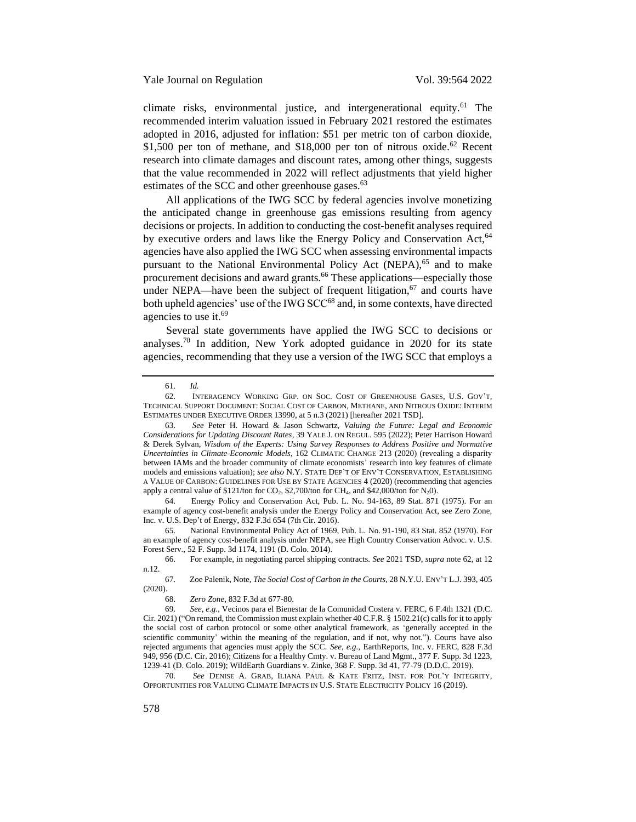<span id="page-14-0"></span>climate risks, environmental justice, and intergenerational equity.<sup>61</sup> The recommended interim valuation issued in February 2021 restored the estimates adopted in 2016, adjusted for inflation: \$51 per metric ton of carbon dioxide, \$1,500 per ton of methane, and \$18,000 per ton of nitrous oxide.<sup>62</sup> Recent research into climate damages and discount rates, among other things, suggests that the value recommended in 2022 will reflect adjustments that yield higher estimates of the SCC and other greenhouse gases.<sup>63</sup>

<span id="page-14-1"></span>All applications of the IWG SCC by federal agencies involve monetizing the anticipated change in greenhouse gas emissions resulting from agency decisions or projects. In addition to conducting the cost-benefit analyses required by executive orders and laws like the Energy Policy and Conservation Act, <sup>64</sup> agencies have also applied the IWG SCC when assessing environmental impacts pursuant to the National Environmental Policy Act (NEPA),<sup>65</sup> and to make procurement decisions and award grants.<sup>66</sup> These applications—especially those under NEPA—have been the subject of frequent litigation, $67$  and courts have both upheld agencies' use of the IWG SCC<sup>68</sup> and, in some contexts, have directed agencies to use it.<sup>69</sup>

<span id="page-14-3"></span>Several state governments have applied the IWG SCC to decisions or analyses.<sup>70</sup> In addition, New York adopted guidance in 2020 for its state agencies, recommending that they use a version of the IWG SCC that employs a

64. Energy Policy and Conservation Act, Pub. L. No. 94-163, 89 Stat. 871 (1975). For an example of agency cost-benefit analysis under the Energy Policy and Conservation Act, see Zero Zone, Inc. v. U.S. Dep't of Energy, 832 F.3d 654 (7th Cir. 2016).

65. National Environmental Policy Act of 1969, Pub. L. No. 91-190, 83 Stat. 852 (1970). For an example of agency cost-benefit analysis under NEPA, see High Country Conservation Advoc. v. U.S. Forest Serv., 52 F. Supp. 3d 1174, 1191 (D. Colo. 2014).

70. *See* DENISE A. GRAB, ILIANA PAUL & KATE FRITZ, INST. FOR POL'Y INTEGRITY, OPPORTUNITIES FOR VALUING CLIMATE IMPACTS IN U.S. STATE ELECTRICITY POLICY 16 (2019).

<span id="page-14-2"></span><sup>61.</sup> *Id.*

<sup>62.</sup> INTERAGENCY WORKING GRP. ON SOC. COST OF GREENHOUSE GASES, U.S. GOV'T, TECHNICAL SUPPORT DOCUMENT: SOCIAL COST OF CARBON, METHANE, AND NITROUS OXIDE: INTERIM ESTIMATES UNDER EXECUTIVE ORDER 13990, at 5 n.3 (2021) [hereafter 2021 TSD].

<sup>63.</sup> *See* Peter H. Howard & Jason Schwartz, *Valuing the Future: Legal and Economic Considerations for Updating Discount Rates*, 39 YALE J. ON REGUL. 595 (2022); Peter Harrison Howard & Derek Sylvan, *Wisdom of the Experts: Using Survey Responses to Address Positive and Normative Uncertainties in Climate-Economic Models*, 162 CLIMATIC CHANGE 213 (2020) (revealing a disparity between IAMs and the broader community of climate economists' research into key features of climate models and emissions valuation); *see also* N.Y. STATE DEP'T OF ENV'T CONSERVATION, ESTABLISHING A VALUE OF CARBON: GUIDELINES FOR USE BY STATE AGENCIES 4 (2020) (recommending that agencies apply a central value of \$121/ton for  $CO_2$ , \$2,700/ton for CH<sub>4</sub>, and \$42,000/ton for N<sub>2</sub>0).

<sup>66.</sup> For example, in negotiating parcel shipping contracts. *See* 2021 TSD, *supra* note [62,](#page-14-0) at 12 n.12.

<sup>67.</sup> Zoe Palenik, Note, *The Social Cost of Carbon in the Courts*, 28 N.Y.U. ENV'T L.J. 393, 405 (2020).

<sup>68.</sup> *Zero Zone*, 832 F.3d at 677-80.

<sup>69.</sup> *See, e.g.*, Vecinos para el Bienestar de la Comunidad Costera v. FERC, 6 F.4th 1321 (D.C. Cir. 2021) ("On remand, the Commission must explain whether 40 C.F.R. § 1502.21(c) calls for it to apply the social cost of carbon protocol or some other analytical framework, as 'generally accepted in the scientific community' within the meaning of the regulation, and if not, why not."). Courts have also rejected arguments that agencies must apply the SCC. *See, e.g.*, EarthReports, Inc. v. FERC, 828 F.3d 949, 956 (D.C. Cir. 2016); Citizens for a Healthy Cmty. v. Bureau of Land Mgmt., 377 F. Supp. 3d 1223, 1239-41 (D. Colo. 2019); WildEarth Guardians v. Zinke, 368 F. Supp. 3d 41, 77-79 (D.D.C. 2019).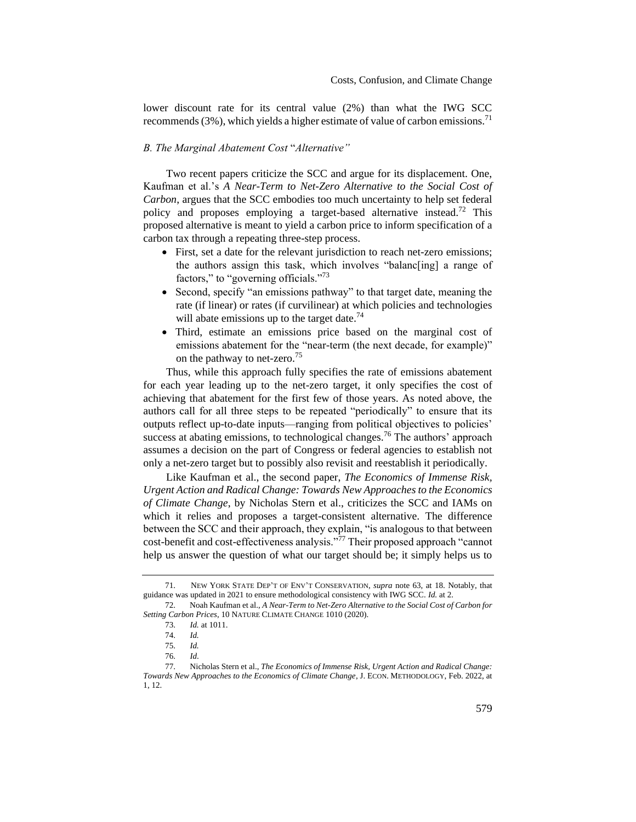lower discount rate for its central value (2%) than what the IWG SCC recommends  $(3\%)$ , which yields a higher estimate of value of carbon emissions.<sup>71</sup>

### <span id="page-15-0"></span>*B. The Marginal Abatement Cost* "*Alternative"*

Two recent papers criticize the SCC and argue for its displacement. One, Kaufman et al.'s *A Near-Term to Net-Zero Alternative to the Social Cost of Carbon*, argues that the SCC embodies too much uncertainty to help set federal policy and proposes employing a target-based alternative instead.<sup>72</sup> This proposed alternative is meant to yield a carbon price to inform specification of a carbon tax through a repeating three-step process.

- <span id="page-15-1"></span>• First, set a date for the relevant jurisdiction to reach net-zero emissions; the authors assign this task, which involves "balanc[ing] a range of factors," to "governing officials."<sup>73</sup>
- Second, specify "an emissions pathway" to that target date, meaning the rate (if linear) or rates (if curvilinear) at which policies and technologies will abate emissions up to the target date.<sup>74</sup>
- Third, estimate an emissions price based on the marginal cost of emissions abatement for the "near-term (the next decade, for example)" on the pathway to net-zero.<sup>75</sup>

Thus, while this approach fully specifies the rate of emissions abatement for each year leading up to the net-zero target, it only specifies the cost of achieving that abatement for the first few of those years. As noted above, the authors call for all three steps to be repeated "periodically" to ensure that its outputs reflect up-to-date inputs—ranging from political objectives to policies' success at abating emissions, to technological changes.<sup>76</sup> The authors' approach assumes a decision on the part of Congress or federal agencies to establish not only a net-zero target but to possibly also revisit and reestablish it periodically.

Like Kaufman et al., the second paper, *The Economics of Immense Risk, Urgent Action and Radical Change: Towards New Approaches to the Economics of Climate Change*, by Nicholas Stern et al., criticizes the SCC and IAMs on which it relies and proposes a target-consistent alternative. The difference between the SCC and their approach, they explain, "is analogous to that between cost-benefit and cost-effectiveness analysis."<sup>77</sup> Their proposed approach "cannot help us answer the question of what our target should be; it simply helps us to

<sup>71.</sup> NEW YORK STATE DEP'T OF ENV'T CONSERVATION, *supra* note [63,](#page-14-1) at 18. Notably, that guidance was updated in 2021 to ensure methodological consistency with IWG SCC. *Id.* at 2.

<sup>72.</sup> Noah Kaufman et al., *A Near-Term to Net-Zero Alternative to the Social Cost of Carbon for Setting Carbon Prices*, 10 NATURE CLIMATE CHANGE 1010 (2020).

<span id="page-15-2"></span><sup>73.</sup> *Id.* at 1011.

<sup>74.</sup> *Id.*

<sup>75.</sup> *Id.*

<sup>76.</sup> *Id*.

<sup>77.</sup> Nicholas Stern et al., *The Economics of Immense Risk, Urgent Action and Radical Change: Towards New Approaches to the Economics of Climate Change*, J. ECON. METHODOLOGY, Feb. 2022, at 1, 12.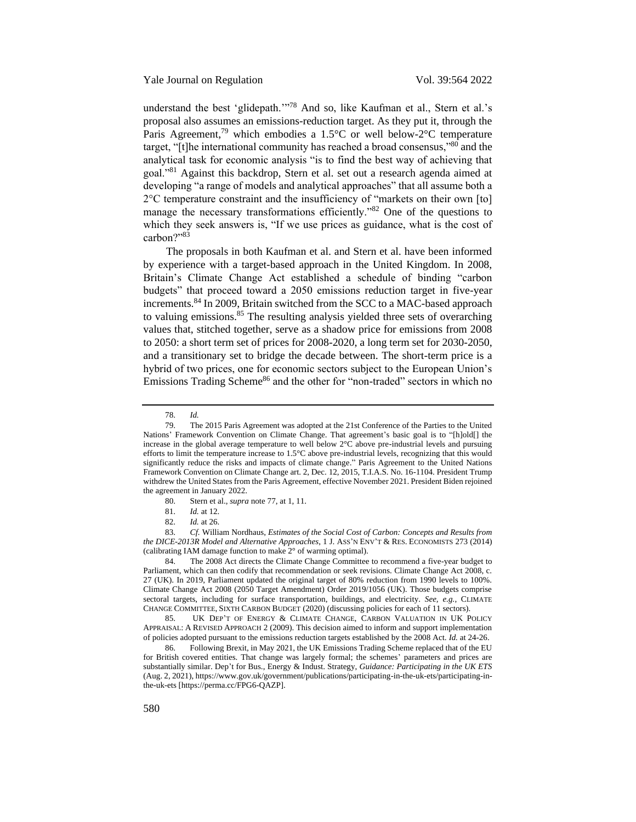<span id="page-16-2"></span>understand the best 'glidepath."<sup>78</sup> And so, like Kaufman et al., Stern et al.'s proposal also assumes an emissions-reduction target. As they put it, through the Paris Agreement,<sup>79</sup> which embodies a 1.5°C or well below-2°C temperature target, "[t]he international community has reached a broad consensus,"<sup>80</sup> and the analytical task for economic analysis "is to find the best way of achieving that goal."<sup>81</sup> Against this backdrop, Stern et al. set out a research agenda aimed at developing "a range of models and analytical approaches" that all assume both a 2°C temperature constraint and the insufficiency of "markets on their own [to] manage the necessary transformations efficiently."<sup>82</sup> One of the questions to which they seek answers is, "If we use prices as guidance, what is the cost of carbon?"83

<span id="page-16-1"></span><span id="page-16-0"></span>The proposals in both Kaufman et al. and Stern et al. have been informed by experience with a target-based approach in the United Kingdom. In 2008, Britain's Climate Change Act established a schedule of binding "carbon budgets" that proceed toward a 2050 emissions reduction target in five-year increments.<sup>84</sup> In 2009, Britain switched from the SCC to a MAC-based approach to valuing emissions.<sup>85</sup> The resulting analysis yielded three sets of overarching values that, stitched together, serve as a shadow price for emissions from 2008 to 2050: a short term set of prices for 2008-2020, a long term set for 2030-2050, and a transitionary set to bridge the decade between. The short-term price is a hybrid of two prices, one for economic sectors subject to the European Union's Emissions Trading Scheme<sup>86</sup> and the other for "non-traded" sectors in which no

80. Stern et al., *supra* not[e 77,](#page-15-2) at 1, 11.

83. *Cf.* William Nordhaus, *Estimates of the Social Cost of Carbon: Concepts and Results from the DICE-2013R Model and Alternative Approaches*, 1 J. ASS'N ENV'T & RES. ECONOMISTS 273 (2014) (calibrating IAM damage function to make 2° of warming optimal).

84. The 2008 Act directs the Climate Change Committee to recommend a five-year budget to Parliament, which can then codify that recommendation or seek revisions. Climate Change Act 2008, c. 27 (UK). In 2019, Parliament updated the original target of 80% reduction from 1990 levels to 100%. Climate Change Act 2008 (2050 Target Amendment) Order 2019/1056 (UK). Those budgets comprise sectoral targets, including for surface transportation, buildings, and electricity. *See, e.g.*, CLIMATE CHANGE COMMITTEE, SIXTH CARBON BUDGET (2020) (discussing policies for each of 11 sectors).

85. UK DEP'T OF ENERGY & CLIMATE CHANGE, CARBON VALUATION IN UK POLICY APPRAISAL: A REVISED APPROACH 2 (2009). This decision aimed to inform and support implementation of policies adopted pursuant to the emissions reduction targets established by the 2008 Act. *Id.* at 24-26.

86. Following Brexit, in May 2021, the UK Emissions Trading Scheme replaced that of the EU for British covered entities. That change was largely formal; the schemes' parameters and prices are substantially similar. Dep't for Bus., Energy & Indust. Strategy, *Guidance: Participating in the UK ETS* (Aug. 2, 2021), https://www.gov.uk/government/publications/participating-in-the-uk-ets/participating-inthe-uk-ets [https://perma.cc/FPG6-QAZP].

<sup>78.</sup> *Id.*

<sup>79.</sup> The 2015 Paris Agreement was adopted at the 21st Conference of the Parties to the United Nations' Framework Convention on Climate Change. That agreement's basic goal is to "[h]old[] the increase in the global average temperature to well below  $2^{\circ}C$  above pre-industrial levels and pursuing efforts to limit the temperature increase to 1.5°C above pre-industrial levels, recognizing that this would significantly reduce the risks and impacts of climate change." Paris Agreement to the United Nations Framework Convention on Climate Change art. 2, Dec. 12, 2015, T.I.A.S. No. 16-1104. President Trump withdrew the United States from the Paris Agreement, effective November 2021. President Biden rejoined the agreement in January 2022.

<sup>81.</sup> *Id.* at 12.

<sup>82.</sup> *Id.* at 26.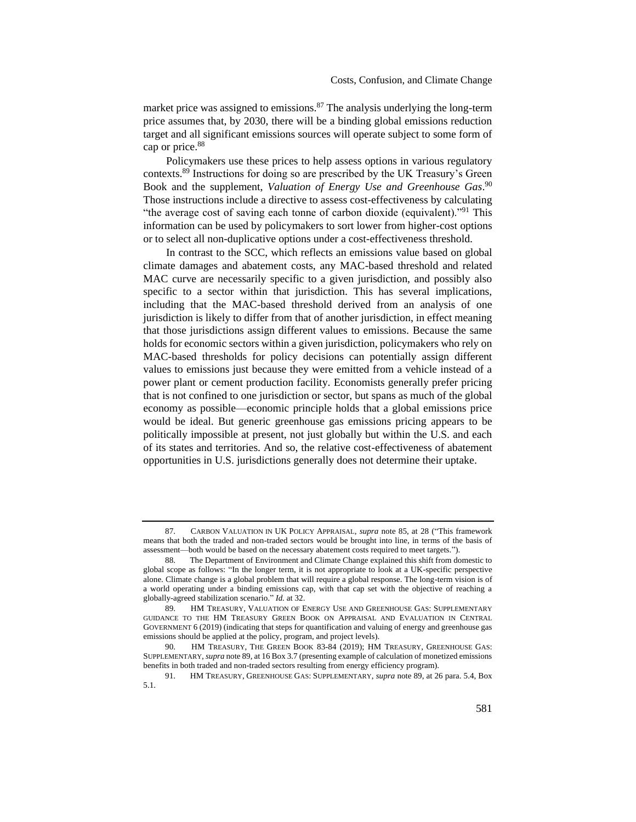market price was assigned to emissions.<sup>87</sup> The analysis underlying the long-term price assumes that, by 2030, there will be a binding global emissions reduction target and all significant emissions sources will operate subject to some form of cap or price.<sup>88</sup>

<span id="page-17-0"></span>Policymakers use these prices to help assess options in various regulatory contexts.<sup>89</sup> Instructions for doing so are prescribed by the UK Treasury's Green Book and the supplement, *Valuation of Energy Use and Greenhouse Gas*. 90 Those instructions include a directive to assess cost-effectiveness by calculating "the average cost of saving each tonne of carbon dioxide (equivalent)."<sup>91</sup> This information can be used by policymakers to sort lower from higher-cost options or to select all non-duplicative options under a cost-effectiveness threshold.

In contrast to the SCC, which reflects an emissions value based on global climate damages and abatement costs, any MAC-based threshold and related MAC curve are necessarily specific to a given jurisdiction, and possibly also specific to a sector within that jurisdiction. This has several implications, including that the MAC-based threshold derived from an analysis of one jurisdiction is likely to differ from that of another jurisdiction, in effect meaning that those jurisdictions assign different values to emissions. Because the same holds for economic sectors within a given jurisdiction, policymakers who rely on MAC-based thresholds for policy decisions can potentially assign different values to emissions just because they were emitted from a vehicle instead of a power plant or cement production facility. Economists generally prefer pricing that is not confined to one jurisdiction or sector, but spans as much of the global economy as possible—economic principle holds that a global emissions price would be ideal. But generic greenhouse gas emissions pricing appears to be politically impossible at present, not just globally but within the U.S. and each of its states and territories. And so, the relative cost-effectiveness of abatement opportunities in U.S. jurisdictions generally does not determine their uptake.

<sup>87.</sup> CARBON VALUATION IN UK POLICY APPRAISAL, *supra* not[e 85,](#page-16-1) at 28 ("This framework means that both the traded and non-traded sectors would be brought into line, in terms of the basis of assessment—both would be based on the necessary abatement costs required to meet targets.").

<sup>88.</sup> The Department of Environment and Climate Change explained this shift from domestic to global scope as follows: "In the longer term, it is not appropriate to look at a UK-specific perspective alone. Climate change is a global problem that will require a global response. The long-term vision is of a world operating under a binding emissions cap, with that cap set with the objective of reaching a globally-agreed stabilization scenario." *Id.* at 32.

<sup>89.</sup> HM TREASURY, VALUATION OF ENERGY USE AND GREENHOUSE GAS: SUPPLEMENTARY GUIDANCE TO THE HM TREASURY GREEN BOOK ON APPRAISAL AND EVALUATION IN CENTRAL GOVERNMENT 6 (2019) (indicating that steps for quantification and valuing of energy and greenhouse gas emissions should be applied at the policy, program, and project levels).

<sup>90.</sup> HM TREASURY, THE GREEN BOOK 83-84 (2019); HM TREASURY, GREENHOUSE GAS: SUPPLEMENTARY, *supra* not[e 89,](#page-17-0) at 16 Box 3.7 (presenting example of calculation of monetized emissions benefits in both traded and non-traded sectors resulting from energy efficiency program).

<sup>91.</sup> HM TREASURY, GREENHOUSE GAS: SUPPLEMENTARY, *supra* not[e 89,](#page-17-0) at 26 para. 5.4, Box 5.1.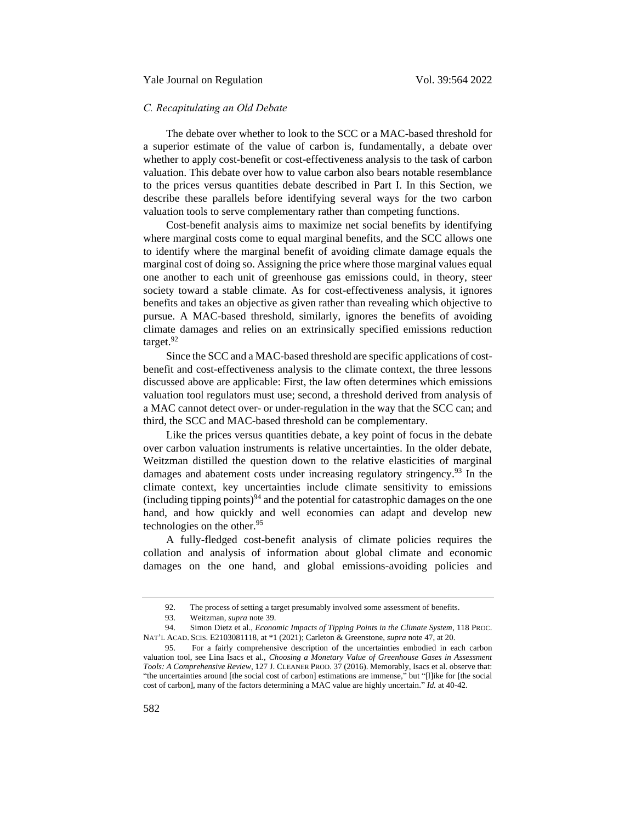## <span id="page-18-0"></span>*C. Recapitulating an Old Debate*

The debate over whether to look to the SCC or a MAC-based threshold for a superior estimate of the value of carbon is, fundamentally, a debate over whether to apply cost-benefit or cost-effectiveness analysis to the task of carbon valuation. This debate over how to value carbon also bears notable resemblance to the prices versus quantities debate described in Part I. In this Section, we describe these parallels before identifying several ways for the two carbon valuation tools to serve complementary rather than competing functions.

Cost-benefit analysis aims to maximize net social benefits by identifying where marginal costs come to equal marginal benefits, and the SCC allows one to identify where the marginal benefit of avoiding climate damage equals the marginal cost of doing so. Assigning the price where those marginal values equal one another to each unit of greenhouse gas emissions could, in theory, steer society toward a stable climate. As for cost-effectiveness analysis, it ignores benefits and takes an objective as given rather than revealing which objective to pursue. A MAC-based threshold, similarly, ignores the benefits of avoiding climate damages and relies on an extrinsically specified emissions reduction target.<sup>92</sup>

Since the SCC and a MAC-based threshold are specific applications of costbenefit and cost-effectiveness analysis to the climate context, the three lessons discussed above are applicable: First, the law often determines which emissions valuation tool regulators must use; second, a threshold derived from analysis of a MAC cannot detect over- or under-regulation in the way that the SCC can; and third, the SCC and MAC-based threshold can be complementary.

Like the prices versus quantities debate, a key point of focus in the debate over carbon valuation instruments is relative uncertainties. In the older debate, Weitzman distilled the question down to the relative elasticities of marginal damages and abatement costs under increasing regulatory stringency.<sup>93</sup> In the climate context, key uncertainties include climate sensitivity to emissions (including tipping points)<sup>94</sup> and the potential for catastrophic damages on the one hand, and how quickly and well economies can adapt and develop new technologies on the other.<sup>95</sup>

<span id="page-18-1"></span>A fully-fledged cost-benefit analysis of climate policies requires the collation and analysis of information about global climate and economic damages on the one hand, and global emissions-avoiding policies and

<sup>92.</sup> The process of setting a target presumably involved some assessment of benefits.

<sup>93.</sup> Weitzman, *supra* note [39.](#page-10-0)

<sup>94.</sup> Simon Dietz et al., *Economic Impacts of Tipping Points in the Climate System*, 118 PROC. NAT'L ACAD. SCIS. E2103081118, at \*1 (2021); Carleton & Greenstone, *supra* note [47,](#page-12-2) at 20.

<sup>95.</sup> For a fairly comprehensive description of the uncertainties embodied in each carbon valuation tool, see Lina Isacs et al., *Choosing a Monetary Value of Greenhouse Gases in Assessment Tools: A Comprehensive Review*, 127 J. CLEANER PROD. 37 (2016). Memorably, Isacs et al. observe that: "the uncertainties around [the social cost of carbon] estimations are immense," but "[l]ike for [the social cost of carbon], many of the factors determining a MAC value are highly uncertain." *Id.* at 40-42.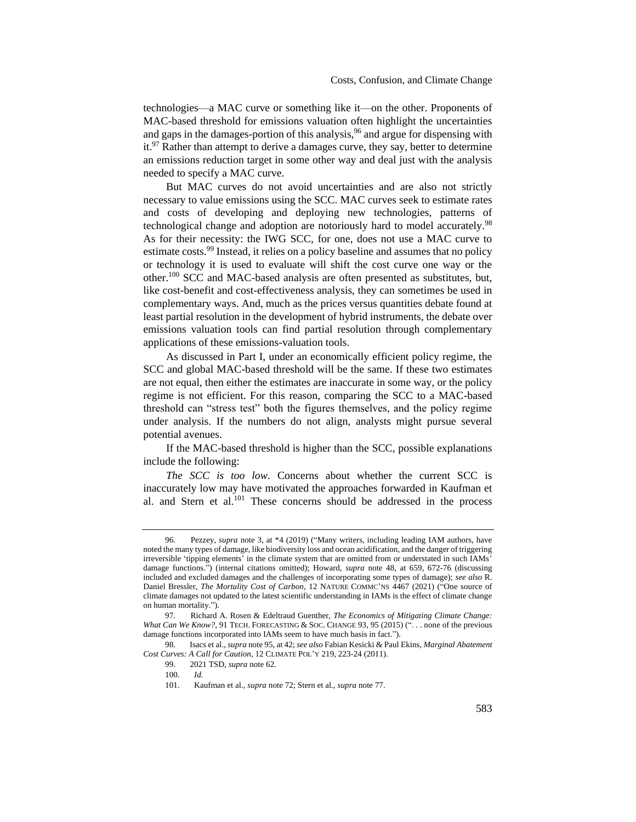technologies—a MAC curve or something like it—on the other. Proponents of MAC-based threshold for emissions valuation often highlight the uncertainties and gaps in the damages-portion of this analysis,  $96$  and argue for dispensing with  $it.^{97}$  Rather than attempt to derive a damages curve, they say, better to determine an emissions reduction target in some other way and deal just with the analysis needed to specify a MAC curve.

But MAC curves do not avoid uncertainties and are also not strictly necessary to value emissions using the SCC. MAC curves seek to estimate rates and costs of developing and deploying new technologies, patterns of technological change and adoption are notoriously hard to model accurately.<sup>98</sup> As for their necessity: the IWG SCC, for one, does not use a MAC curve to estimate costs.<sup>99</sup> Instead, it relies on a policy baseline and assumes that no policy or technology it is used to evaluate will shift the cost curve one way or the other.<sup>100</sup> SCC and MAC-based analysis are often presented as substitutes, but, like cost-benefit and cost-effectiveness analysis, they can sometimes be used in complementary ways. And, much as the prices versus quantities debate found at least partial resolution in the development of hybrid instruments, the debate over emissions valuation tools can find partial resolution through complementary applications of these emissions-valuation tools.

As discussed in Part I, under an economically efficient policy regime, the SCC and global MAC-based threshold will be the same. If these two estimates are not equal, then either the estimates are inaccurate in some way, or the policy regime is not efficient. For this reason, comparing the SCC to a MAC-based threshold can "stress test" both the figures themselves, and the policy regime under analysis. If the numbers do not align, analysts might pursue several potential avenues.

If the MAC-based threshold is higher than the SCC, possible explanations include the following:

*The SCC is too low*. Concerns about whether the current SCC is inaccurately low may have motivated the approaches forwarded in Kaufman et al. and Stern et al.<sup>101</sup> These concerns should be addressed in the process

<sup>96.</sup> Pezzey, *supra* note [3,](#page-1-2) at \*4 (2019) ("Many writers, including leading IAM authors, have noted the many types of damage, like biodiversity loss and ocean acidification, and the danger of triggering irreversible 'tipping elements' in the climate system that are omitted from or understated in such IAMs' damage functions.") (internal citations omitted); Howard, *supra* note [48,](#page-12-3) at 659, 672-76 (discussing included and excluded damages and the challenges of incorporating some types of damage); *see also* R. Daniel Bressler, *The Mortality Cost of Carbon*, 12 NATURE COMMC'NS 4467 (2021) ("One source of climate damages not updated to the latest scientific understanding in IAMs is the effect of climate change on human mortality.").

<sup>97.</sup> Richard A. Rosen & Edeltraud Guenther, *The Economics of Mitigating Climate Change: What Can We Know?*, 91 TECH. FORECASTING & SOC. CHANGE 93, 95 (2015) ("... none of the previous damage functions incorporated into IAMs seem to have much basis in fact.").

<sup>98.</sup> Isacs et al., *supra* not[e 95,](#page-18-1) at 42; *see also* Fabian Kesicki & Paul Ekins, *Marginal Abatement Cost Curves: A Call for Caution*, 12 CLIMATE POL'Y 219, 223-24 (2011).

<sup>99.</sup> 2021 TSD, *supra* not[e 62.](#page-14-0)

<sup>100.</sup> *Id.*

<sup>101.</sup> Kaufman et al., *supra* note [72;](#page-15-1) Stern et al., *supra* not[e 77.](#page-15-2)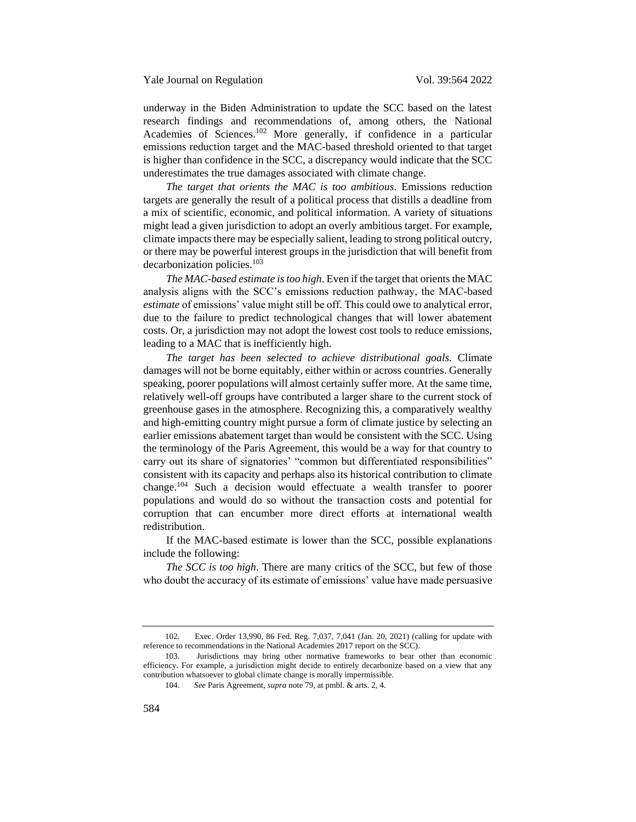underway in the Biden Administration to update the SCC based on the latest research findings and recommendations of, among others, the National Academies of Sciences.<sup>102</sup> More generally, if confidence in a particular emissions reduction target and the MAC-based threshold oriented to that target is higher than confidence in the SCC, a discrepancy would indicate that the SCC underestimates the true damages associated with climate change.

*The target that orients the MAC is too ambitious*. Emissions reduction targets are generally the result of a political process that distills a deadline from a mix of scientific, economic, and political information. A variety of situations might lead a given jurisdiction to adopt an overly ambitious target. For example, climate impacts there may be especially salient, leading to strong political outcry, or there may be powerful interest groups in the jurisdiction that will benefit from decarbonization policies.<sup>103</sup>

*The MAC-based estimate is too high*. Even if the target that orients the MAC analysis aligns with the SCC's emissions reduction pathway, the MAC-based *estimate* of emissions' value might still be off. This could owe to analytical error, due to the failure to predict technological changes that will lower abatement costs. Or, a jurisdiction may not adopt the lowest cost tools to reduce emissions, leading to a MAC that is inefficiently high.

*The target has been selected to achieve distributional goals.* Climate damages will not be borne equitably, either within or across countries. Generally speaking, poorer populations will almost certainly suffer more. At the same time, relatively well-off groups have contributed a larger share to the current stock of greenhouse gases in the atmosphere. Recognizing this, a comparatively wealthy and high-emitting country might pursue a form of climate justice by selecting an earlier emissions abatement target than would be consistent with the SCC. Using the terminology of the Paris Agreement, this would be a way for that country to carry out its share of signatories' "common but differentiated responsibilities" consistent with its capacity and perhaps also its historical contribution to climate change.<sup>104</sup> Such a decision would effectuate a wealth transfer to poorer populations and would do so without the transaction costs and potential for corruption that can encumber more direct efforts at international wealth redistribution.

If the MAC-based estimate is lower than the SCC, possible explanations include the following:

*The SCC is too high*. There are many critics of the SCC, but few of those who doubt the accuracy of its estimate of emissions' value have made persuasive

<sup>102.</sup> Exec. Order 13,990, 86 Fed. Reg. 7,037, 7,041 (Jan. 20, 2021) (calling for update with reference to recommendations in the National Academies 2017 report on the SCC).

<sup>103.</sup> Jurisdictions may bring other normative frameworks to bear other than economic efficiency. For example, a jurisdiction might decide to entirely decarbonize based on a view that any contribution whatsoever to global climate change is morally impermissible.

<sup>104.</sup> *See* Paris Agreement, *supra* not[e 79,](#page-16-2) at pmbl. & arts. 2, 4.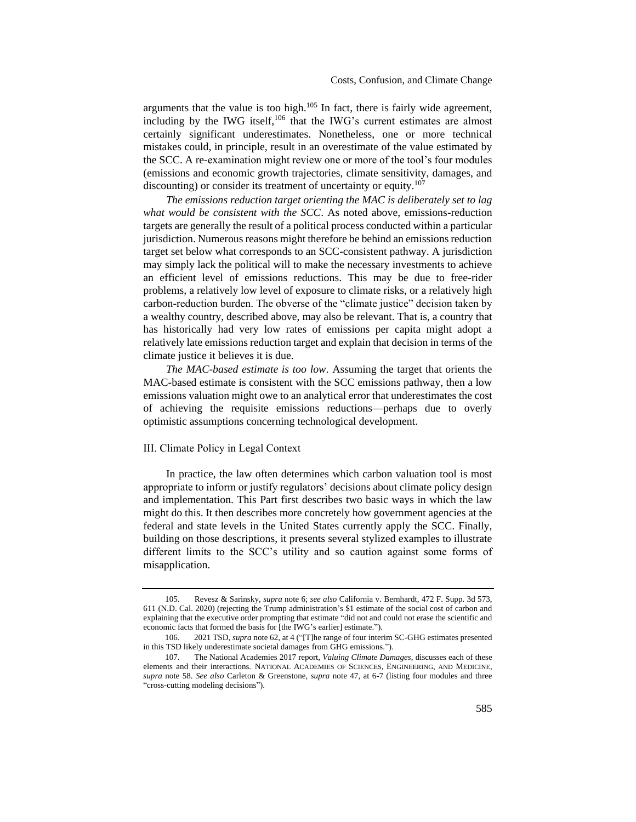arguments that the value is too high. $105$  In fact, there is fairly wide agreement, including by the IWG itself,<sup>106</sup> that the IWG's current estimates are almost certainly significant underestimates. Nonetheless, one or more technical mistakes could, in principle, result in an overestimate of the value estimated by the SCC. A re-examination might review one or more of the tool's four modules (emissions and economic growth trajectories, climate sensitivity, damages, and discounting) or consider its treatment of uncertainty or equity.<sup>107</sup>

*The emissions reduction target orienting the MAC is deliberately set to lag what would be consistent with the SCC*. As noted above, emissions-reduction targets are generally the result of a political process conducted within a particular jurisdiction. Numerous reasons might therefore be behind an emissions reduction target set below what corresponds to an SCC-consistent pathway. A jurisdiction may simply lack the political will to make the necessary investments to achieve an efficient level of emissions reductions. This may be due to free-rider problems, a relatively low level of exposure to climate risks, or a relatively high carbon-reduction burden. The obverse of the "climate justice" decision taken by a wealthy country, described above, may also be relevant. That is, a country that has historically had very low rates of emissions per capita might adopt a relatively late emissions reduction target and explain that decision in terms of the climate justice it believes it is due.

*The MAC*-*based estimate is too low*. Assuming the target that orients the MAC-based estimate is consistent with the SCC emissions pathway, then a low emissions valuation might owe to an analytical error that underestimates the cost of achieving the requisite emissions reductions—perhaps due to overly optimistic assumptions concerning technological development.

#### <span id="page-21-0"></span>III. Climate Policy in Legal Context

In practice, the law often determines which carbon valuation tool is most appropriate to inform or justify regulators' decisions about climate policy design and implementation. This Part first describes two basic ways in which the law might do this. It then describes more concretely how government agencies at the federal and state levels in the United States currently apply the SCC. Finally, building on those descriptions, it presents several stylized examples to illustrate different limits to the SCC's utility and so caution against some forms of misapplication.

<sup>105.</sup> Revesz & Sarinsky, *supra* note [6;](#page-1-1) *see also* California v. Bernhardt, 472 F. Supp. 3d 573, 611 (N.D. Cal. 2020) (rejecting the Trump administration's \$1 estimate of the social cost of carbon and explaining that the executive order prompting that estimate "did not and could not erase the scientific and economic facts that formed the basis for [the IWG's earlier] estimate.").

<sup>106.</sup> 2021 TSD, *supra* note [62,](#page-14-0) at 4 ("[T]he range of four interim SC-GHG estimates presented in this TSD likely underestimate societal damages from GHG emissions.").

<sup>107.</sup> The National Academies 2017 report, *Valuing Climate Damages*, discusses each of these elements and their interactions. NATIONAL ACADEMIES OF SCIENCES, ENGINEERING, AND MEDICINE, *supra* note [58.](#page-13-0) *See also* Carleton & Greenstone, *supra* note [47,](#page-12-2) at 6-7 (listing four modules and three "cross-cutting modeling decisions").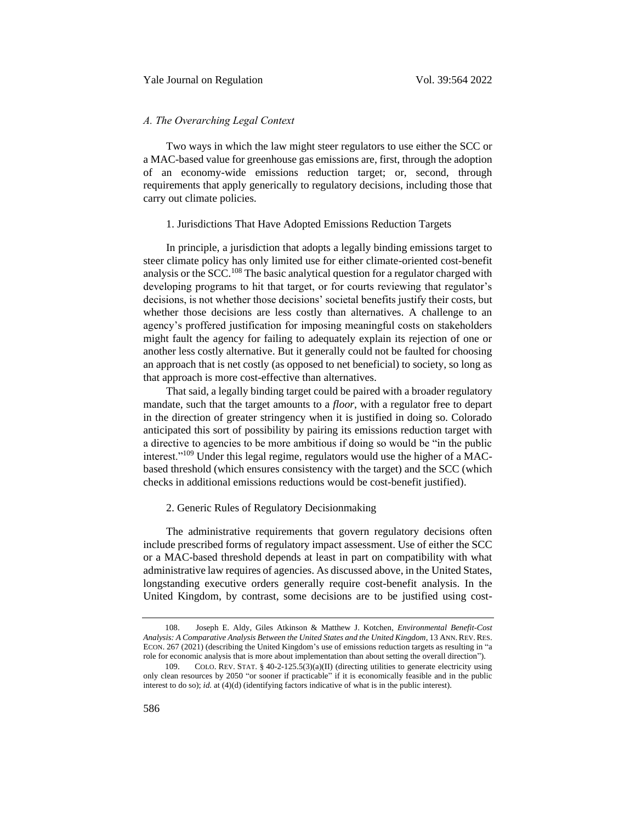# <span id="page-22-0"></span>*A. The Overarching Legal Context*

Two ways in which the law might steer regulators to use either the SCC or a MAC-based value for greenhouse gas emissions are, first, through the adoption of an economy-wide emissions reduction target; or, second, through requirements that apply generically to regulatory decisions, including those that carry out climate policies.

#### <span id="page-22-1"></span>1. Jurisdictions That Have Adopted Emissions Reduction Targets

In principle, a jurisdiction that adopts a legally binding emissions target to steer climate policy has only limited use for either climate-oriented cost-benefit analysis or the SCC.<sup>108</sup> The basic analytical question for a regulator charged with developing programs to hit that target, or for courts reviewing that regulator's decisions, is not whether those decisions' societal benefits justify their costs, but whether those decisions are less costly than alternatives. A challenge to an agency's proffered justification for imposing meaningful costs on stakeholders might fault the agency for failing to adequately explain its rejection of one or another less costly alternative. But it generally could not be faulted for choosing an approach that is net costly (as opposed to net beneficial) to society, so long as that approach is more cost-effective than alternatives.

That said, a legally binding target could be paired with a broader regulatory mandate, such that the target amounts to a *floor*, with a regulator free to depart in the direction of greater stringency when it is justified in doing so. Colorado anticipated this sort of possibility by pairing its emissions reduction target with a directive to agencies to be more ambitious if doing so would be "in the public interest."<sup>109</sup> Under this legal regime, regulators would use the higher of a MACbased threshold (which ensures consistency with the target) and the SCC (which checks in additional emissions reductions would be cost-benefit justified).

# 2. Generic Rules of Regulatory Decisionmaking

The administrative requirements that govern regulatory decisions often include prescribed forms of regulatory impact assessment. Use of either the SCC or a MAC-based threshold depends at least in part on compatibility with what administrative law requires of agencies. As discussed above, in the United States, longstanding executive orders generally require cost-benefit analysis. In the United Kingdom, by contrast, some decisions are to be justified using cost-

<sup>108.</sup> Joseph E. Aldy, Giles Atkinson & Matthew J. Kotchen, *Environmental Benefit-Cost Analysis: A Comparative Analysis Between the United States and the United Kingdom*, 13 ANN.REV.RES. ECON. 267 (2021) (describing the United Kingdom's use of emissions reduction targets as resulting in "a role for economic analysis that is more about implementation than about setting the overall direction").

<sup>109.</sup> COLO. REV. STAT. § 40-2-125.5(3)(a)(II) (directing utilities to generate electricity using only clean resources by 2050 "or sooner if practicable" if it is economically feasible and in the public interest to do so); *id.* at (4)(d) (identifying factors indicative of what is in the public interest).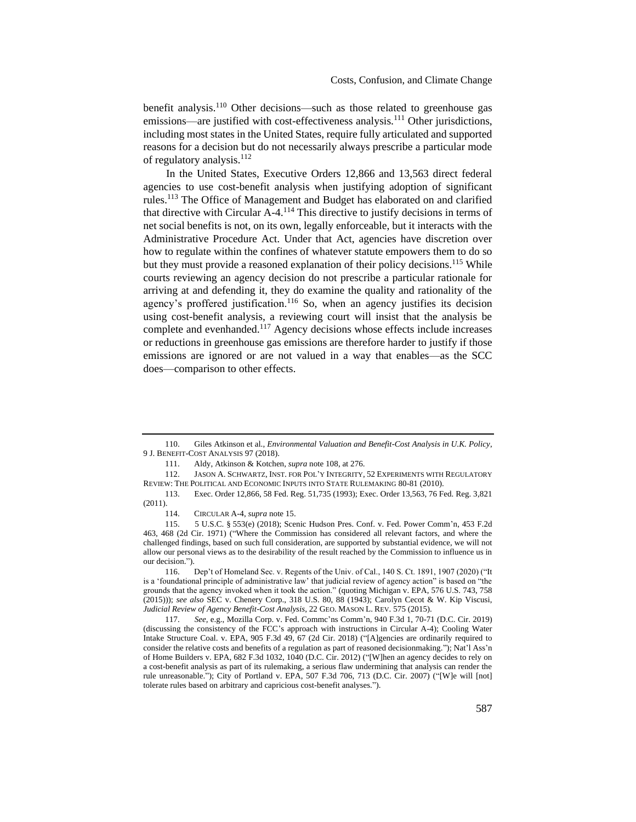benefit analysis.<sup>110</sup> Other decisions—such as those related to greenhouse gas emissions—are justified with cost-effectiveness analysis.<sup>111</sup> Other jurisdictions, including most states in the United States, require fully articulated and supported reasons for a decision but do not necessarily always prescribe a particular mode of regulatory analysis.<sup>112</sup>

In the United States, Executive Orders 12,866 and 13,563 direct federal agencies to use cost-benefit analysis when justifying adoption of significant rules.<sup>113</sup> The Office of Management and Budget has elaborated on and clarified that directive with Circular A-4.<sup>114</sup> This directive to justify decisions in terms of net social benefits is not, on its own, legally enforceable, but it interacts with the Administrative Procedure Act. Under that Act, agencies have discretion over how to regulate within the confines of whatever statute empowers them to do so but they must provide a reasoned explanation of their policy decisions.<sup>115</sup> While courts reviewing an agency decision do not prescribe a particular rationale for arriving at and defending it, they do examine the quality and rationality of the agency's proffered justification.<sup>116</sup> So, when an agency justifies its decision using cost-benefit analysis, a reviewing court will insist that the analysis be complete and evenhanded.<sup>117</sup> Agency decisions whose effects include increases or reductions in greenhouse gas emissions are therefore harder to justify if those emissions are ignored or are not valued in a way that enables—as the SCC does—comparison to other effects.

<sup>110.</sup> Giles Atkinson et al., *Environmental Valuation and Benefit-Cost Analysis in U.K. Policy*, 9 J. BENEFIT-COST ANALYSIS 97 (2018).

<sup>111.</sup> Aldy, Atkinson & Kotchen, *supra* note [108,](#page-22-1) at 276.

<sup>112.</sup> JASON A. SCHWARTZ, INST. FOR POL'Y INTEGRITY, 52 EXPERIMENTS WITH REGULATORY REVIEW: THE POLITICAL AND ECONOMIC INPUTS INTO STATE RULEMAKING 80-81 (2010).

<sup>113.</sup> Exec. Order 12,866, 58 Fed. Reg. 51,735 (1993); Exec. Order 13,563, 76 Fed. Reg. 3,821 (2011).

<sup>114.</sup> CIRCULAR A-4, *supra* not[e 15.](#page-4-0)

<sup>115.</sup> 5 U.S.C. § 553(e) (2018); Scenic Hudson Pres. Conf. v. Fed. Power Comm'n, 453 F.2d 463, 468 (2d Cir. 1971) ("Where the Commission has considered all relevant factors, and where the challenged findings, based on such full consideration, are supported by substantial evidence, we will not allow our personal views as to the desirability of the result reached by the Commission to influence us in our decision.").

<sup>116.</sup> Dep't of Homeland Sec. v. Regents of the Univ. of Cal., 140 S. Ct. 1891, 1907 (2020) ("It is a 'foundational principle of administrative law' that judicial review of agency action" is based on "the grounds that the agency invoked when it took the action." (quoting Michigan v. EPA, 576 U.S. 743, 758 (2015))); *see also* SEC v. Chenery Corp., 318 U.S. 80, 88 (1943); Carolyn Cecot & W. Kip Viscusi, *Judicial Review of Agency Benefit-Cost Analysis*, 22 GEO. MASON L. REV. 575 (2015).

<sup>117.</sup> *See,* e.g., Mozilla Corp. v. Fed. Commc'ns Comm'n, 940 F.3d 1, 70-71 (D.C. Cir. 2019) (discussing the consistency of the FCC's approach with instructions in Circular A-4); Cooling Water Intake Structure Coal. v. EPA, 905 F.3d 49, 67 (2d Cir. 2018) ("[A]gencies are ordinarily required to consider the relative costs and benefits of a regulation as part of reasoned decisionmaking."); Nat'l Ass'n of Home Builders v. EPA, 682 F.3d 1032, 1040 (D.C. Cir. 2012) ("[W]hen an agency decides to rely on a cost-benefit analysis as part of its rulemaking, a serious flaw undermining that analysis can render the rule unreasonable."); City of Portland v. EPA, 507 F.3d 706, 713 (D.C. Cir. 2007) ("[W]e will [not] tolerate rules based on arbitrary and capricious cost-benefit analyses.").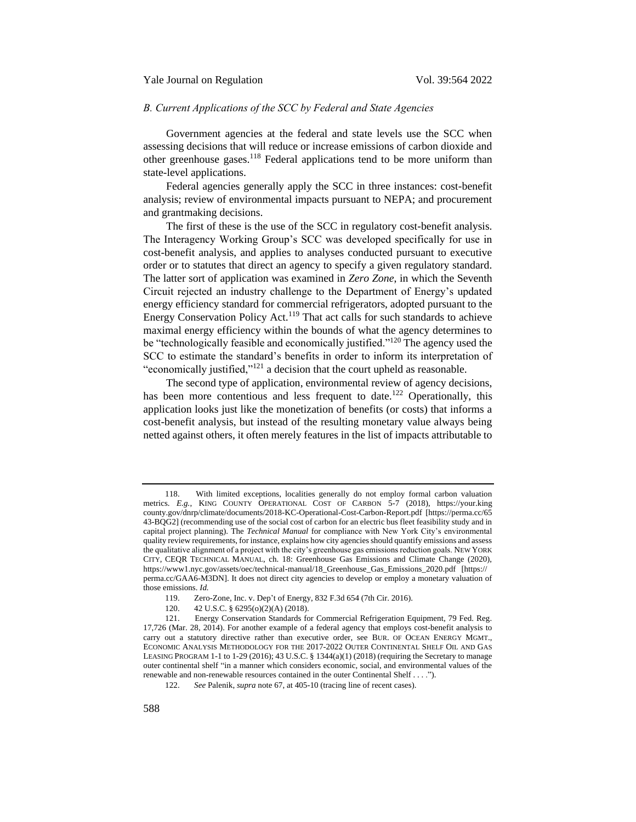## <span id="page-24-0"></span>*B. Current Applications of the SCC by Federal and State Agencies*

Government agencies at the federal and state levels use the SCC when assessing decisions that will reduce or increase emissions of carbon dioxide and other greenhouse gases.<sup>118</sup> Federal applications tend to be more uniform than state-level applications.

Federal agencies generally apply the SCC in three instances: cost-benefit analysis; review of environmental impacts pursuant to NEPA; and procurement and grantmaking decisions.

The first of these is the use of the SCC in regulatory cost-benefit analysis. The Interagency Working Group's SCC was developed specifically for use in cost-benefit analysis, and applies to analyses conducted pursuant to executive order or to statutes that direct an agency to specify a given regulatory standard. The latter sort of application was examined in *Zero Zone*, in which the Seventh Circuit rejected an industry challenge to the Department of Energy's updated energy efficiency standard for commercial refrigerators, adopted pursuant to the Energy Conservation Policy Act.<sup>119</sup> That act calls for such standards to achieve maximal energy efficiency within the bounds of what the agency determines to be "technologically feasible and economically justified."<sup>120</sup> The agency used the SCC to estimate the standard's benefits in order to inform its interpretation of "economically justified,"<sup>121</sup> a decision that the court upheld as reasonable.

The second type of application, environmental review of agency decisions, has been more contentious and less frequent to date.<sup>122</sup> Operationally, this application looks just like the monetization of benefits (or costs) that informs a cost-benefit analysis, but instead of the resulting monetary value always being netted against others, it often merely features in the list of impacts attributable to

<sup>118.</sup> With limited exceptions, localities generally do not employ formal carbon valuation metrics. *E.g.*, KING COUNTY OPERATIONAL COST OF CARBON 5-7 (2018), https://your.king county.gov/dnrp/climate/documents/2018-KC-Operational-Cost-Carbon-Report.pdf [https://perma.cc/65 43-BQG2] (recommending use of the social cost of carbon for an electric bus fleet feasibility study and in capital project planning). The *Technical Manual* for compliance with New York City's environmental quality review requirements, for instance, explains how city agencies should quantify emissions and assess the qualitative alignment of a project with the city's greenhouse gas emissions reduction goals. NEW YORK CITY, CEQR TECHNICAL MANUAL, ch. 18: Greenhouse Gas Emissions and Climate Change (2020), https://www1.nyc.gov/assets/oec/technical-manual/18\_Greenhouse\_Gas\_Emissions\_2020.pdf [https:// perma.cc/GAA6-M3DN]. It does not direct city agencies to develop or employ a monetary valuation of those emissions. *Id.*

<sup>119.</sup> Zero-Zone, Inc. v. Dep't of Energy, 832 F.3d 654 (7th Cir. 2016).

<sup>120.</sup> 42 U.S.C. § 6295(o)(2)(A) (2018).

<sup>121.</sup> Energy Conservation Standards for Commercial Refrigeration Equipment, 79 Fed. Reg. 17,726 (Mar. 28, 2014). For another example of a federal agency that employs cost-benefit analysis to carry out a statutory directive rather than executive order, see BUR. OF OCEAN ENERGY MGMT., ECONOMIC ANALYSIS METHODOLOGY FOR THE 2017-2022 OUTER CONTINENTAL SHELF OIL AND GAS LEASING PROGRAM 1-1 to 1-29 (2016); 43 U.S.C. § 1344(a)(1) (2018) (requiring the Secretary to manage outer continental shelf "in a manner which considers economic, social, and environmental values of the renewable and non-renewable resources contained in the outer Continental Shelf . . . .").

<sup>122.</sup> *See* Palenik, *supra* not[e 67,](#page-14-2) at 405-10 (tracing line of recent cases).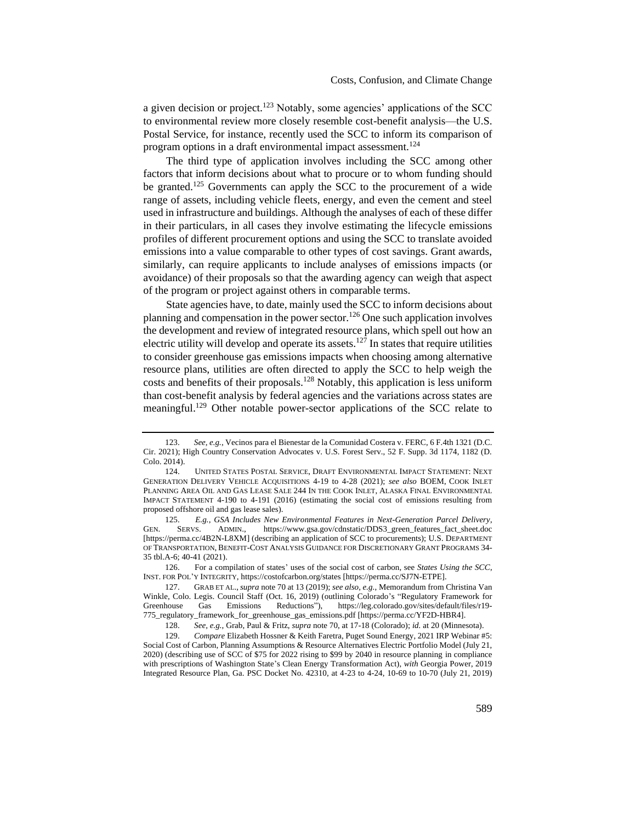<span id="page-25-1"></span>a given decision or project.<sup>123</sup> Notably, some agencies' applications of the SCC to environmental review more closely resemble cost-benefit analysis—the U.S. Postal Service, for instance, recently used the SCC to inform its comparison of program options in a draft environmental impact assessment.<sup>124</sup>

The third type of application involves including the SCC among other factors that inform decisions about what to procure or to whom funding should be granted.<sup>125</sup> Governments can apply the SCC to the procurement of a wide range of assets, including vehicle fleets, energy, and even the cement and steel used in infrastructure and buildings. Although the analyses of each of these differ in their particulars, in all cases they involve estimating the lifecycle emissions profiles of different procurement options and using the SCC to translate avoided emissions into a value comparable to other types of cost savings. Grant awards, similarly, can require applicants to include analyses of emissions impacts (or avoidance) of their proposals so that the awarding agency can weigh that aspect of the program or project against others in comparable terms.

<span id="page-25-0"></span>State agencies have, to date, mainly used the SCC to inform decisions about planning and compensation in the power sector.<sup>126</sup> One such application involves the development and review of integrated resource plans, which spell out how an electric utility will develop and operate its assets.<sup>127</sup> In states that require utilities to consider greenhouse gas emissions impacts when choosing among alternative resource plans, utilities are often directed to apply the SCC to help weigh the costs and benefits of their proposals.<sup>128</sup> Notably, this application is less uniform than cost-benefit analysis by federal agencies and the variations across states are meaningful.<sup>129</sup> Other notable power-sector applications of the SCC relate to

<sup>123.</sup> *See, e.g.*, Vecinos para el Bienestar de la Comunidad Costera v. FERC, 6 F.4th 1321 (D.C. Cir. 2021); High Country Conservation Advocates v. U.S. Forest Serv., 52 F. Supp. 3d 1174, 1182 (D. Colo. 2014).

<sup>124.</sup> UNITED STATES POSTAL SERVICE, DRAFT ENVIRONMENTAL IMPACT STATEMENT: NEXT GENERATION DELIVERY VEHICLE ACQUISITIONS 4-19 to 4-28 (2021); *see also* BOEM, COOK INLET PLANNING AREA OIL AND GAS LEASE SALE 244 IN THE COOK INLET, ALASKA FINAL ENVIRONMENTAL IMPACT STATEMENT 4-190 to 4-191 (2016) (estimating the social cost of emissions resulting from proposed offshore oil and gas lease sales).

<sup>125.</sup> *E.g.*, *GSA Includes New Environmental Features in Next-Generation Parcel Delivery*, GEN. SERVS. ADMIN., https://www.gsa.gov/cdnstatic/DDS3\_green\_features\_fact\_sheet.doc [https://perma.cc/4B2N-L8XM] (describing an application of SCC to procurements); U.S. DEPARTMENT OF TRANSPORTATION, BENEFIT-COST ANALYSIS GUIDANCE FOR DISCRETIONARY GRANT PROGRAMS 34- 35 tbl.A-6; 40-41 (2021).

<sup>126.</sup> For a compilation of states' uses of the social cost of carbon, see *States Using the SCC*, INST. FOR POL'Y INTEGRITY, https://costofcarbon.org/states [https://perma.cc/SJ7N-ETPE].

<sup>127.</sup> GRAB ET AL.,*supra* not[e 70](#page-14-3) at 13 (2019); *see also, e.g.*, Memorandum from Christina Van Winkle, Colo. Legis. Council Staff (Oct. 16, 2019) (outlining Colorado's "Regulatory Framework for Greenhouse Gas Emissions Reductions"), https://leg.colorado.gov/sites/default/files/r19- 775\_regulatory\_framework\_for\_greenhouse\_gas\_emissions.pdf [https://perma.cc/YF2D-HBR4].

<sup>128.</sup> *See, e.g.*, Grab, Paul & Fritz, *supra* not[e 70,](#page-14-3) at 17-18 (Colorado); *id.* at 20 (Minnesota).

<sup>129.</sup> *Compare* Elizabeth Hossner & Keith Faretra, Puget Sound Energy, 2021 IRP Webinar #5: Social Cost of Carbon, Planning Assumptions & Resource Alternatives Electric Portfolio Model (July 21, 2020) (describing use of SCC of \$75 for 2022 rising to \$99 by 2040 in resource planning in compliance with prescriptions of Washington State's Clean Energy Transformation Act), *with* Georgia Power, 2019 Integrated Resource Plan, Ga. PSC Docket No. 42310, at 4-23 to 4-24, 10-69 to 10-70 (July 21, 2019)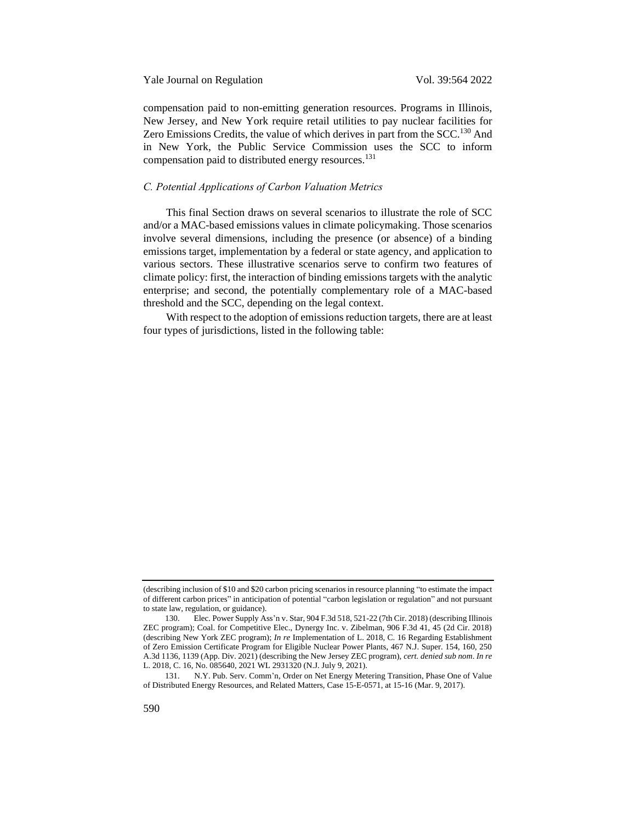compensation paid to non-emitting generation resources. Programs in Illinois, New Jersey, and New York require retail utilities to pay nuclear facilities for Zero Emissions Credits, the value of which derives in part from the SCC.<sup>130</sup> And in New York, the Public Service Commission uses the SCC to inform compensation paid to distributed energy resources.<sup>131</sup>

#### <span id="page-26-0"></span>*C. Potential Applications of Carbon Valuation Metrics*

This final Section draws on several scenarios to illustrate the role of SCC and/or a MAC-based emissions values in climate policymaking. Those scenarios involve several dimensions, including the presence (or absence) of a binding emissions target, implementation by a federal or state agency, and application to various sectors. These illustrative scenarios serve to confirm two features of climate policy: first, the interaction of binding emissions targets with the analytic enterprise; and second, the potentially complementary role of a MAC-based threshold and the SCC, depending on the legal context.

With respect to the adoption of emissions reduction targets, there are at least four types of jurisdictions, listed in the following table:

<sup>(</sup>describing inclusion of \$10 and \$20 carbon pricing scenarios in resource planning "to estimate the impact of different carbon prices" in anticipation of potential "carbon legislation or regulation" and not pursuant to state law, regulation, or guidance).

<sup>130.</sup> Elec. Power Supply Ass'n v. Star, 904 F.3d 518, 521-22 (7th Cir. 2018) (describing Illinois ZEC program); Coal. for Competitive Elec., Dynergy Inc. v. Zibelman, 906 F.3d 41, 45 (2d Cir. 2018) (describing New York ZEC program); *In re* Implementation of L. 2018, C. 16 Regarding Establishment of Zero Emission Certificate Program for Eligible Nuclear Power Plants, 467 N.J. Super. 154, 160, 250 A.3d 1136, 1139 (App. Div. 2021) (describing the New Jersey ZEC program), *cert. denied sub nom*. *In re* L. 2018, C. 16, No. 085640, 2021 WL 2931320 (N.J. July 9, 2021).

<sup>131.</sup> N.Y. Pub. Serv. Comm'n, Order on Net Energy Metering Transition, Phase One of Value of Distributed Energy Resources, and Related Matters, Case 15-E-0571, at 15-16 (Mar. 9, 2017).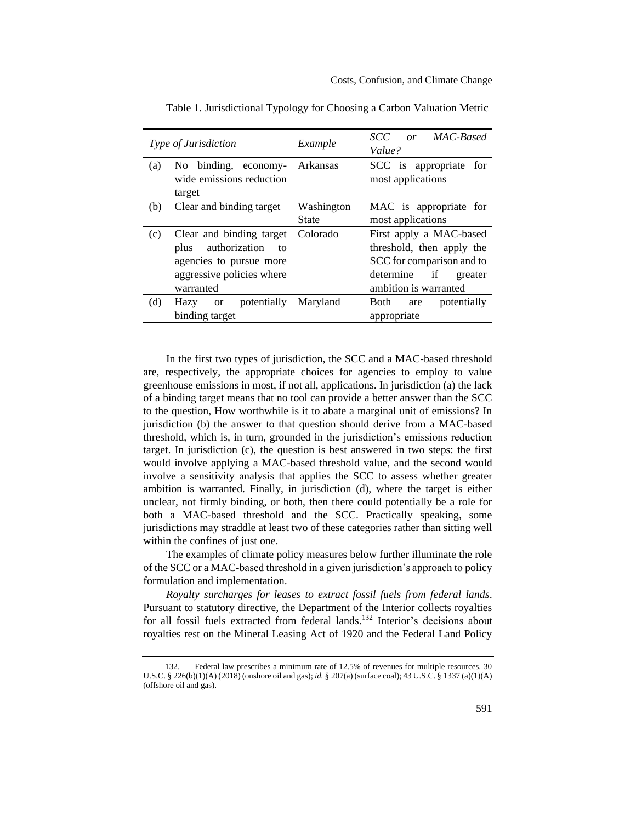|     | <i>Type of Jurisdiction</i>                                                                                               | Example             | SCC<br>or MAC-Based<br>Value?                                                                                                            |
|-----|---------------------------------------------------------------------------------------------------------------------------|---------------------|------------------------------------------------------------------------------------------------------------------------------------------|
| (a) | No binding, economy-<br>wide emissions reduction<br>target                                                                | Arkansas            | SCC is appropriate for<br>most applications                                                                                              |
| (b) | Clear and binding target                                                                                                  | Washington<br>State | MAC is appropriate for<br>most applications                                                                                              |
| (c) | Clear and binding target<br>plus authorization<br>to<br>agencies to pursue more<br>aggressive policies where<br>warranted | Colorado            | First apply a MAC-based<br>threshold, then apply the<br>SCC for comparison and to<br>if<br>determine<br>greater<br>ambition is warranted |
| (d) | potentially<br>Hazy<br>or or<br>binding target                                                                            | Maryland            | Both<br>potentially<br>are<br>appropriate                                                                                                |

Table 1. Jurisdictional Typology for Choosing a Carbon Valuation Metric

In the first two types of jurisdiction, the SCC and a MAC-based threshold are, respectively, the appropriate choices for agencies to employ to value greenhouse emissions in most, if not all, applications. In jurisdiction (a) the lack of a binding target means that no tool can provide a better answer than the SCC to the question, How worthwhile is it to abate a marginal unit of emissions? In jurisdiction (b) the answer to that question should derive from a MAC-based threshold, which is, in turn, grounded in the jurisdiction's emissions reduction target. In jurisdiction (c), the question is best answered in two steps: the first would involve applying a MAC-based threshold value, and the second would involve a sensitivity analysis that applies the SCC to assess whether greater ambition is warranted. Finally, in jurisdiction (d), where the target is either unclear, not firmly binding, or both, then there could potentially be a role for both a MAC-based threshold and the SCC. Practically speaking, some jurisdictions may straddle at least two of these categories rather than sitting well within the confines of just one.

The examples of climate policy measures below further illuminate the role of the SCC or a MAC-based threshold in a given jurisdiction's approach to policy formulation and implementation.

*Royalty surcharges for leases to extract fossil fuels from federal lands*. Pursuant to statutory directive, the Department of the Interior collects royalties for all fossil fuels extracted from federal lands.<sup>132</sup> Interior's decisions about royalties rest on the Mineral Leasing Act of 1920 and the Federal Land Policy

<sup>132.</sup> Federal law prescribes a minimum rate of 12.5% of revenues for multiple resources. 30 U.S.C. § 226(b)(1)(A) (2018) (onshore oil and gas); *id.* § 207(a) (surface coal); 43 U.S.C. § 1337 (a)(1)(A) (offshore oil and gas).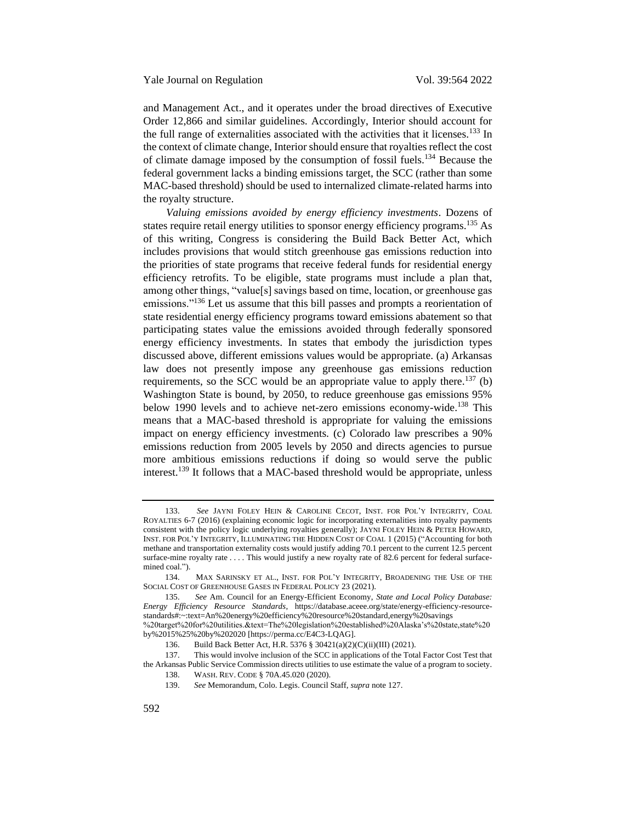and Management Act., and it operates under the broad directives of Executive Order 12,866 and similar guidelines. Accordingly, Interior should account for the full range of externalities associated with the activities that it licenses.<sup>133</sup> In the context of climate change, Interior should ensure that royalties reflect the cost of climate damage imposed by the consumption of fossil fuels.<sup>134</sup> Because the federal government lacks a binding emissions target, the SCC (rather than some MAC-based threshold) should be used to internalized climate-related harms into the royalty structure.

*Valuing emissions avoided by energy efficiency investments*. Dozens of states require retail energy utilities to sponsor energy efficiency programs.<sup>135</sup> As of this writing, Congress is considering the Build Back Better Act, which includes provisions that would stitch greenhouse gas emissions reduction into the priorities of state programs that receive federal funds for residential energy efficiency retrofits. To be eligible, state programs must include a plan that, among other things, "value[s] savings based on time, location, or greenhouse gas emissions."<sup>136</sup> Let us assume that this bill passes and prompts a reorientation of state residential energy efficiency programs toward emissions abatement so that participating states value the emissions avoided through federally sponsored energy efficiency investments. In states that embody the jurisdiction types discussed above, different emissions values would be appropriate. (a) Arkansas law does not presently impose any greenhouse gas emissions reduction requirements, so the SCC would be an appropriate value to apply there.<sup>137</sup> (b) Washington State is bound, by 2050, to reduce greenhouse gas emissions 95% below 1990 levels and to achieve net-zero emissions economy-wide.<sup>138</sup> This means that a MAC-based threshold is appropriate for valuing the emissions impact on energy efficiency investments. (c) Colorado law prescribes a 90% emissions reduction from 2005 levels by 2050 and directs agencies to pursue more ambitious emissions reductions if doing so would serve the public interest.<sup>139</sup> It follows that a MAC-based threshold would be appropriate, unless

<sup>133.</sup> *See* JAYNI FOLEY HEIN & CAROLINE CECOT, INST. FOR POL'Y INTEGRITY, COAL ROYALTIES 6-7 (2016) (explaining economic logic for incorporating externalities into royalty payments consistent with the policy logic underlying royalties generally); JAYNI FOLEY HEIN & PETER HOWARD, INST. FOR POL'Y INTEGRITY, ILLUMINATING THE HIDDEN COST OF COAL 1 (2015) ("Accounting for both methane and transportation externality costs would justify adding 70.1 percent to the current 12.5 percent surface-mine royalty rate . . . . This would justify a new royalty rate of 82.6 percent for federal surfacemined coal.").

<sup>134.</sup> MAX SARINSKY ET AL., INST. FOR POL'Y INTEGRITY, BROADENING THE USE OF THE SOCIAL COST OF GREENHOUSE GASES IN FEDERAL POLICY 23 (2021).

<sup>135.</sup> *See* Am. Council for an Energy-Efficient Economy, *State and Local Policy Database: Energy Efficiency Resource Standards*, https://database.aceee.org/state/energy-efficiency-resourcestandards#:~:text=An%20energy%20efficiency%20resource%20standard,energy%20savings %20target%20for%20utilities.&text=The%20legislation%20established%20Alaska's%20state,state%20 by%2015%25%20by%202020 [https://perma.cc/E4C3-LQAG].

<sup>136.</sup> Build Back Better Act, H.R. 5376 § 30421(a)(2)(C)(ii)(III) (2021).

<sup>137.</sup> This would involve inclusion of the SCC in applications of the Total Factor Cost Test that the Arkansas Public Service Commission directs utilities to use estimate the value of a program to society.

<sup>138.</sup> WASH. REV. CODE § 70A.45.020 (2020).

<sup>139.</sup> *See* Memorandum, Colo. Legis. Council Staff, *supra* not[e 127.](#page-25-0)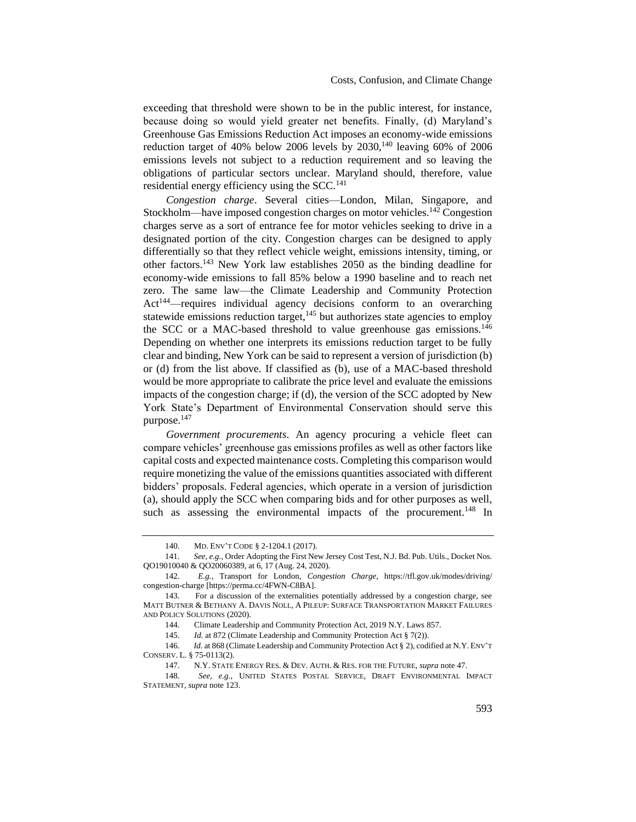exceeding that threshold were shown to be in the public interest, for instance, because doing so would yield greater net benefits. Finally, (d) Maryland's Greenhouse Gas Emissions Reduction Act imposes an economy-wide emissions reduction target of 40% below 2006 levels by  $2030$ ,<sup>140</sup> leaving 60% of 2006 emissions levels not subject to a reduction requirement and so leaving the obligations of particular sectors unclear. Maryland should, therefore, value residential energy efficiency using the  $SCC<sup>141</sup>$ 

*Congestion charge*. Several cities—London, Milan, Singapore, and Stockholm—have imposed congestion charges on motor vehicles.<sup>142</sup> Congestion charges serve as a sort of entrance fee for motor vehicles seeking to drive in a designated portion of the city. Congestion charges can be designed to apply differentially so that they reflect vehicle weight, emissions intensity, timing, or other factors.<sup>143</sup> New York law establishes 2050 as the binding deadline for economy-wide emissions to fall 85% below a 1990 baseline and to reach net zero. The same law—the Climate Leadership and Community Protection Act<sup>144</sup>—requires individual agency decisions conform to an overarching statewide emissions reduction target, $145$  but authorizes state agencies to employ the SCC or a MAC-based threshold to value greenhouse gas emissions.<sup>146</sup> Depending on whether one interprets its emissions reduction target to be fully clear and binding, New York can be said to represent a version of jurisdiction (b) or (d) from the list above. If classified as (b), use of a MAC-based threshold would be more appropriate to calibrate the price level and evaluate the emissions impacts of the congestion charge; if (d), the version of the SCC adopted by New York State's Department of Environmental Conservation should serve this purpose.<sup>147</sup>

*Government procurements*. An agency procuring a vehicle fleet can compare vehicles' greenhouse gas emissions profiles as well as other factors like capital costs and expected maintenance costs. Completing this comparison would require monetizing the value of the emissions quantities associated with different bidders' proposals. Federal agencies, which operate in a version of jurisdiction (a), should apply the SCC when comparing bids and for other purposes as well, such as assessing the environmental impacts of the procurement.<sup>148</sup> In

<sup>140.</sup> MD. ENV'T CODE § 2-1204.1 (2017).

<sup>141.</sup> *See, e.g.*, Order Adopting the First New Jersey Cost Test, N.J. Bd. Pub. Utils., Docket Nos. QO19010040 & QO20060389, at 6, 17 (Aug. 24, 2020).

<sup>142.</sup> *E.g.*, Transport for London, *Congestion Charge*, https://tfl.gov.uk/modes/driving/ congestion-charge [https://perma.cc/4FWN-C8BA].

<sup>143.</sup> For a discussion of the externalities potentially addressed by a congestion charge, see MATT BUTNER & BETHANY A. DAVIS NOLL, A PILEUP: SURFACE TRANSPORTATION MARKET FAILURES AND POLICY SOLUTIONS (2020).

<sup>144.</sup> Climate Leadership and Community Protection Act, 2019 N.Y. Laws 857.

<sup>145.</sup> *Id.* at 872 (Climate Leadership and Community Protection Act § 7(2)).

<sup>146.</sup> *Id.* at 868 (Climate Leadership and Community Protection Act § 2), codified at N.Y. ENV'T CONSERV. L. § 75-0113(2).

<sup>147.</sup> N.Y. STATE ENERGY RES. & DEV. AUTH. & RES. FOR THE FUTURE*, supra* not[e 47.](#page-12-2)

<sup>148.</sup> *See, e.g.*, UNITED STATES POSTAL SERVICE, DRAFT ENVIRONMENTAL IMPACT STATEMENT, *supra* not[e 123.](#page-25-1)